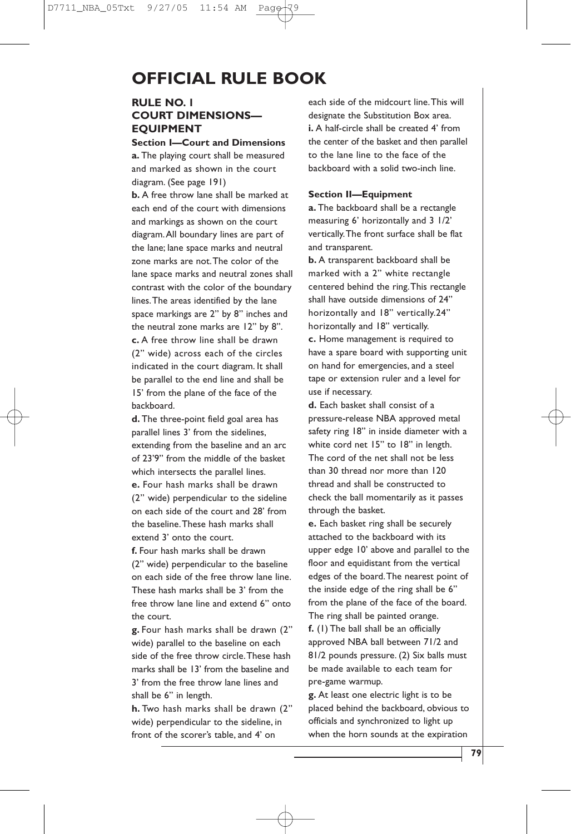# **OFFICIAL RULE BOOK**

# **RULE NO. 1 COURT DIMENSIONS— EQUIPMENT**

**Section I—Court and Dimensions a.** The playing court shall be measured and marked as shown in the court diagram. (See page 191)

**b.** A free throw lane shall be marked at each end of the court with dimensions and markings as shown on the court diagram.All boundary lines are part of the lane; lane space marks and neutral zone marks are not.The color of the lane space marks and neutral zones shall contrast with the color of the boundary lines.The areas identified by the lane space markings are 2" by 8" inches and the neutral zone marks are 12" by 8". **c.** A free throw line shall be drawn (2" wide) across each of the circles indicated in the court diagram. It shall be parallel to the end line and shall be 15' from the plane of the face of the backboard.

**d.** The three-point field goal area has parallel lines 3' from the sidelines, extending from the baseline and an arc of 23'9" from the middle of the basket which intersects the parallel lines.

**e.** Four hash marks shall be drawn (2" wide) perpendicular to the sideline on each side of the court and 28' from the baseline.These hash marks shall extend 3' onto the court.

**f.** Four hash marks shall be drawn (2" wide) perpendicular to the baseline on each side of the free throw lane line. These hash marks shall be 3' from the free throw lane line and extend 6" onto the court.

**g.** Four hash marks shall be drawn (2" wide) parallel to the baseline on each side of the free throw circle.These hash marks shall be 13' from the baseline and 3' from the free throw lane lines and shall be 6" in length.

**h.** Two hash marks shall be drawn (2" wide) perpendicular to the sideline, in front of the scorer's table, and 4' on

each side of the midcourt line.This will designate the Substitution Box area. **i.** A half-circle shall be created 4' from the center of the basket and then parallel to the lane line to the face of the backboard with a solid two-inch line.

### **Section II—Equipment**

**a.** The backboard shall be a rectangle measuring 6' horizontally and 3 1/2' vertically.The front surface shall be flat and transparent.

**b.** A transparent backboard shall be marked with a 2" white rectangle centered behind the ring.This rectangle shall have outside dimensions of 24" horizontally and 18" vertically.24" horizontally and 18" vertically.

**c.** Home management is required to have a spare board with supporting unit on hand for emergencies, and a steel tape or extension ruler and a level for use if necessary.

**d.** Each basket shall consist of a pressure-release NBA approved metal safety ring 18" in inside diameter with a white cord net 15" to 18" in length. The cord of the net shall not be less than 30 thread nor more than 120 thread and shall be constructed to check the ball momentarily as it passes through the basket.

**e.** Each basket ring shall be securely attached to the backboard with its upper edge 10' above and parallel to the floor and equidistant from the vertical edges of the board.The nearest point of the inside edge of the ring shall be 6" from the plane of the face of the board. The ring shall be painted orange. **f.** (1) The ball shall be an officially approved NBA ball between 71/2 and 81/2 pounds pressure. (2) Six balls must be made available to each team for pre-game warmup.

**g.** At least one electric light is to be placed behind the backboard, obvious to officials and synchronized to light up when the horn sounds at the expiration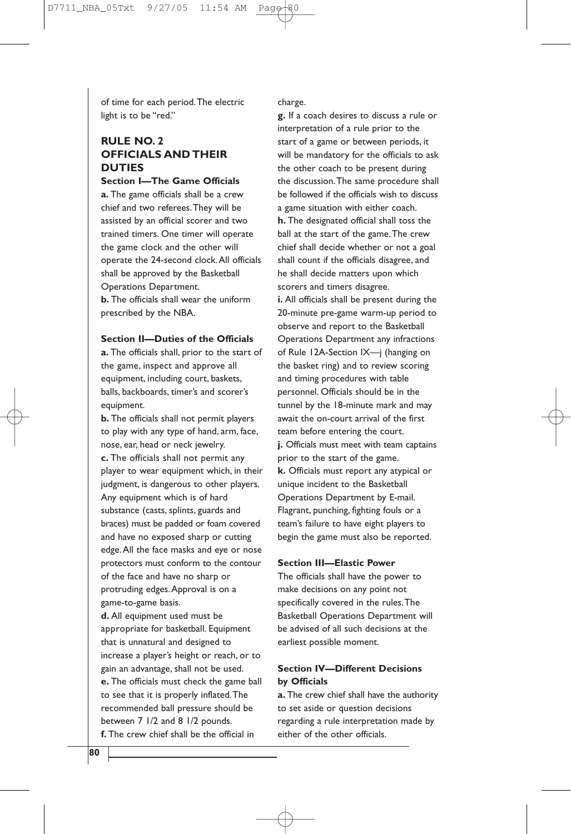of time for each period.The electric light is to be "red."

# **RULE NO. 2 OFFICIALS AND THEIR DUTIES**

**Section I—The Game Officials a.** The game officials shall be a crew chief and two referees.They will be assisted by an official scorer and two trained timers. One timer will operate the game clock and the other will operate the 24-second clock.All officials shall be approved by the Basketball Operations Department. **b.** The officials shall wear the uniform

prescribed by the NBA.

#### **Section II—Duties of the Officials**

**a.** The officials shall, prior to the start of the game, inspect and approve all equipment, including court, baskets, balls, backboards, timer's and scorer's equipment.

**b.** The officials shall not permit players to play with any type of hand, arm, face, nose, ear, head or neck jewelry. **c.** The officials shall not permit any player to wear equipment which, in their judgment, is dangerous to other players. Any equipment which is of hard substance (casts, splints, guards and braces) must be padded or foam covered and have no exposed sharp or cutting edge.All the face masks and eye or nose protectors must conform to the contour of the face and have no sharp or protruding edges.Approval is on a game-to-game basis.

**d.** All equipment used must be appropriate for basketball. Equipment that is unnatural and designed to increase a player's height or reach, or to gain an advantage, shall not be used. **e.** The officials must check the game ball to see that it is properly inflated.The recommended ball pressure should be between 7 1/2 and 8 1/2 pounds. **f.** The crew chief shall be the official in

charge.

**g.** If a coach desires to discuss a rule or interpretation of a rule prior to the start of a game or between periods, it will be mandatory for the officials to ask the other coach to be present during the discussion.The same procedure shall be followed if the officials wish to discuss a game situation with either coach. **h.** The designated official shall toss the ball at the start of the game.The crew chief shall decide whether or not a goal shall count if the officials disagree, and he shall decide matters upon which scorers and timers disagree.

**i.** All officials shall be present during the 20-minute pre-game warm-up period to observe and report to the Basketball Operations Department any infractions of Rule 12A-Section IX—j (hanging on the basket ring) and to review scoring and timing procedures with table personnel. Officials should be in the tunnel by the 18-minute mark and may await the on-court arrival of the first team before entering the court. **j.** Officials must meet with team captains prior to the start of the game. **k.** Officials must report any atypical or unique incident to the Basketball Operations Department by E-mail. Flagrant, punching, fighting fouls or a team's failure to have eight players to begin the game must also be reported.

#### **Section III—Elastic Power**

The officials shall have the power to make decisions on any point not specifically covered in the rules.The Basketball Operations Department will be advised of all such decisions at the earliest possible moment.

### **Section IV—Different Decisions by Officials**

**a.** The crew chief shall have the authority to set aside or question decisions regarding a rule interpretation made by either of the other officials.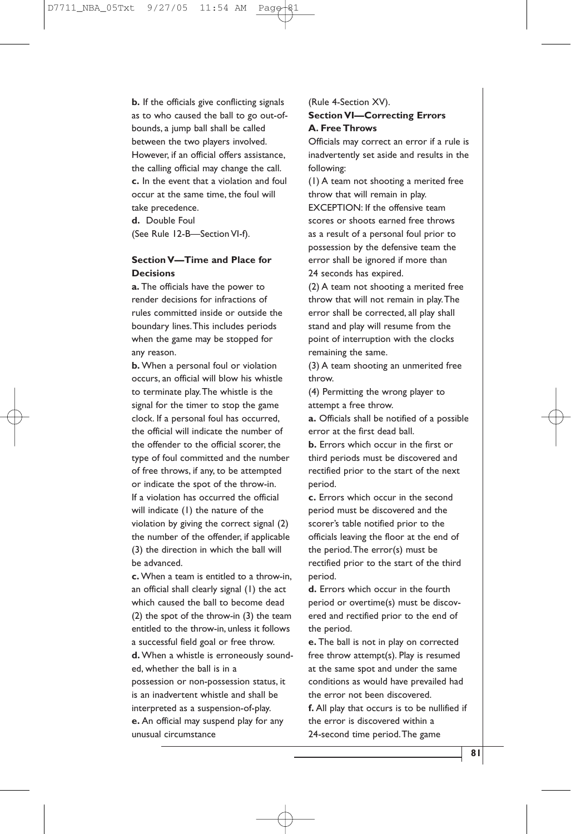**b.** If the officials give conflicting signals as to who caused the ball to go out-ofbounds, a jump ball shall be called between the two players involved. However, if an official offers assistance, the calling official may change the call. **c.** In the event that a violation and foul occur at the same time, the foul will take precedence.

**d.** Double Foul (See Rule 12-B—Section VI-f).

# **Section V—Time and Place for Decisions**

**a.** The officials have the power to render decisions for infractions of rules committed inside or outside the boundary lines.This includes periods when the game may be stopped for any reason.

**b.** When a personal foul or violation occurs, an official will blow his whistle to terminate play.The whistle is the signal for the timer to stop the game clock. If a personal foul has occurred, the official will indicate the number of the offender to the official scorer, the type of foul committed and the number of free throws, if any, to be attempted or indicate the spot of the throw-in. If a violation has occurred the official will indicate (1) the nature of the violation by giving the correct signal (2) the number of the offender, if applicable (3) the direction in which the ball will be advanced.

**c.**When a team is entitled to a throw-in, an official shall clearly signal (1) the act which caused the ball to become dead (2) the spot of the throw-in (3) the team entitled to the throw-in, unless it follows a successful field goal or free throw. **d.** When a whistle is erroneously sounded, whether the ball is in a possession or non-possession status, it is an inadvertent whistle and shall be interpreted as a suspension-of-play. **e.** An official may suspend play for any unusual circumstance

#### (Rule 4-Section XV).

# **Section VI—Correcting Errors A. Free Throws**

Officials may correct an error if a rule is inadvertently set aside and results in the following:

(1) A team not shooting a merited free throw that will remain in play.

EXCEPTION: If the offensive team scores or shoots earned free throws as a result of a personal foul prior to possession by the defensive team the error shall be ignored if more than 24 seconds has expired.

(2) A team not shooting a merited free throw that will not remain in play.The error shall be corrected, all play shall stand and play will resume from the point of interruption with the clocks remaining the same.

(3) A team shooting an unmerited free throw.

(4) Permitting the wrong player to attempt a free throw.

**a.** Officials shall be notified of a possible error at the first dead ball.

**b.** Errors which occur in the first or third periods must be discovered and rectified prior to the start of the next period.

**c.** Errors which occur in the second period must be discovered and the scorer's table notified prior to the officials leaving the floor at the end of the period.The error(s) must be rectified prior to the start of the third period.

**d.** Errors which occur in the fourth period or overtime(s) must be discovered and rectified prior to the end of the period.

**e.** The ball is not in play on corrected free throw attempt(s). Play is resumed at the same spot and under the same conditions as would have prevailed had the error not been discovered.

**f.** All play that occurs is to be nullified if the error is discovered within a 24-second time period.The game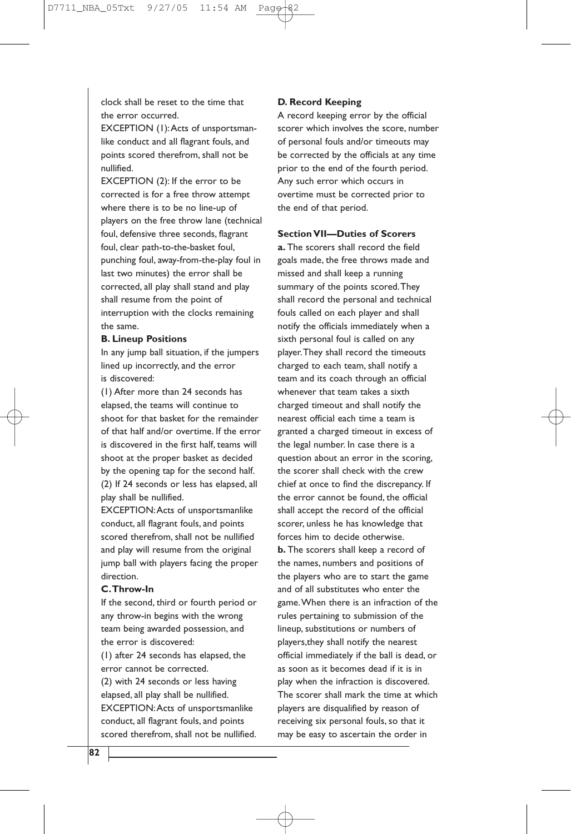clock shall be reset to the time that the error occurred.

EXCEPTION (1):Acts of unsportsmanlike conduct and all flagrant fouls, and points scored therefrom, shall not be nullified.

EXCEPTION (2): If the error to be corrected is for a free throw attempt where there is to be no line-up of players on the free throw lane (technical foul, defensive three seconds, flagrant foul, clear path-to-the-basket foul, punching foul, away-from-the-play foul in last two minutes) the error shall be corrected, all play shall stand and play shall resume from the point of interruption with the clocks remaining the same.

#### **B. Lineup Positions**

In any jump ball situation, if the jumpers lined up incorrectly, and the error is discovered:

(1) After more than 24 seconds has elapsed, the teams will continue to shoot for that basket for the remainder of that half and/or overtime. If the error is discovered in the first half, teams will shoot at the proper basket as decided by the opening tap for the second half. (2) If 24 seconds or less has elapsed, all play shall be nullified.

EXCEPTION:Acts of unsportsmanlike conduct, all flagrant fouls, and points scored therefrom, shall not be nullified and play will resume from the original jump ball with players facing the proper direction.

#### **C.Throw-In**

If the second, third or fourth period or any throw-in begins with the wrong team being awarded possession, and the error is discovered:

(1) after 24 seconds has elapsed, the error cannot be corrected.

(2) with 24 seconds or less having elapsed, all play shall be nullified. EXCEPTION:Acts of unsportsmanlike conduct, all flagrant fouls, and points scored therefrom, shall not be nullified.

#### **D. Record Keeping**

A record keeping error by the official scorer which involves the score, number of personal fouls and/or timeouts may be corrected by the officials at any time prior to the end of the fourth period. Any such error which occurs in overtime must be corrected prior to the end of that period.

#### **Section VII—Duties of Scorers**

**a.** The scorers shall record the field goals made, the free throws made and missed and shall keep a running summary of the points scored.They shall record the personal and technical fouls called on each player and shall notify the officials immediately when a sixth personal foul is called on any player.They shall record the timeouts charged to each team, shall notify a team and its coach through an official whenever that team takes a sixth charged timeout and shall notify the nearest official each time a team is granted a charged timeout in excess of the legal number. In case there is a question about an error in the scoring, the scorer shall check with the crew chief at once to find the discrepancy. If the error cannot be found, the official shall accept the record of the official scorer, unless he has knowledge that forces him to decide otherwise.

**b.** The scorers shall keep a record of the names, numbers and positions of the players who are to start the game and of all substitutes who enter the game.When there is an infraction of the rules pertaining to submission of the lineup, substitutions or numbers of players,they shall notify the nearest official immediately if the ball is dead, or as soon as it becomes dead if it is in play when the infraction is discovered. The scorer shall mark the time at which players are disqualified by reason of receiving six personal fouls, so that it may be easy to ascertain the order in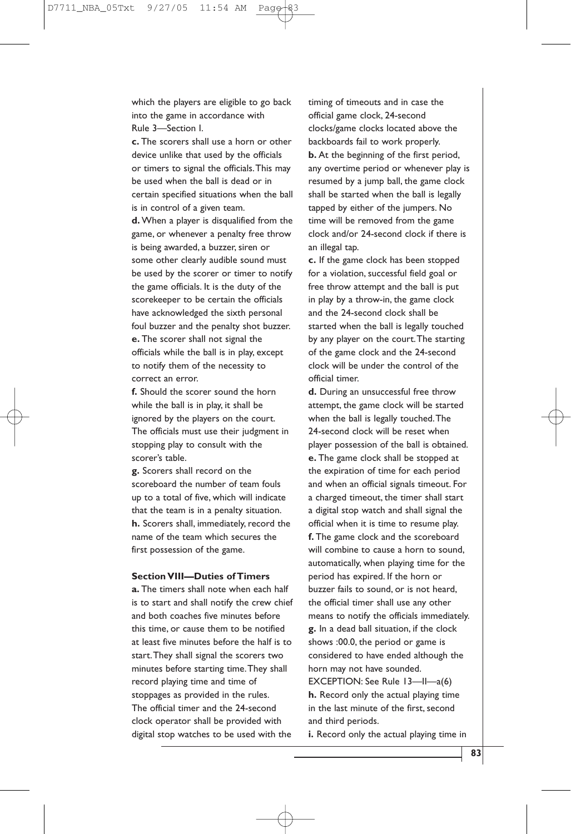which the players are eligible to go back into the game in accordance with Rule 3—Section I.

**c.** The scorers shall use a horn or other device unlike that used by the officials or timers to signal the officials.This may be used when the ball is dead or in certain specified situations when the ball is in control of a given team.

**d.** When a player is disqualified from the game, or whenever a penalty free throw is being awarded, a buzzer, siren or some other clearly audible sound must be used by the scorer or timer to notify the game officials. It is the duty of the scorekeeper to be certain the officials have acknowledged the sixth personal foul buzzer and the penalty shot buzzer. **e.** The scorer shall not signal the officials while the ball is in play, except to notify them of the necessity to correct an error.

**f.** Should the scorer sound the horn while the ball is in play, it shall be ignored by the players on the court. The officials must use their judgment in stopping play to consult with the scorer's table.

**g.** Scorers shall record on the scoreboard the number of team fouls up to a total of five, which will indicate that the team is in a penalty situation. **h.** Scorers shall, immediately, record the name of the team which secures the first possession of the game.

#### **Section VIII—Duties of Timers**

**a.** The timers shall note when each half is to start and shall notify the crew chief and both coaches five minutes before this time, or cause them to be notified at least five minutes before the half is to start.They shall signal the scorers two minutes before starting time.They shall record playing time and time of stoppages as provided in the rules. The official timer and the 24-second clock operator shall be provided with digital stop watches to be used with the

timing of timeouts and in case the official game clock, 24-second clocks/game clocks located above the backboards fail to work properly. **b.** At the beginning of the first period, any overtime period or whenever play is resumed by a jump ball, the game clock shall be started when the ball is legally tapped by either of the jumpers. No time will be removed from the game clock and/or 24-second clock if there is an illegal tap.

**c.** If the game clock has been stopped for a violation, successful field goal or free throw attempt and the ball is put in play by a throw-in, the game clock and the 24-second clock shall be started when the ball is legally touched by any player on the court.The starting of the game clock and the 24-second clock will be under the control of the official timer.

**d.** During an unsuccessful free throw attempt, the game clock will be started when the ball is legally touched.The 24-second clock will be reset when player possession of the ball is obtained. **e.** The game clock shall be stopped at the expiration of time for each period and when an official signals timeout. For a charged timeout, the timer shall start a digital stop watch and shall signal the official when it is time to resume play. **f.** The game clock and the scoreboard will combine to cause a horn to sound, automatically, when playing time for the period has expired. If the horn or buzzer fails to sound, or is not heard, the official timer shall use any other means to notify the officials immediately. **g.** In a dead ball situation, if the clock shows :00.0, the period or game is considered to have ended although the horn may not have sounded. EXCEPTION: See Rule 13—II—a(6)

**h.** Record only the actual playing time in the last minute of the first, second and third periods.

**i.** Record only the actual playing time in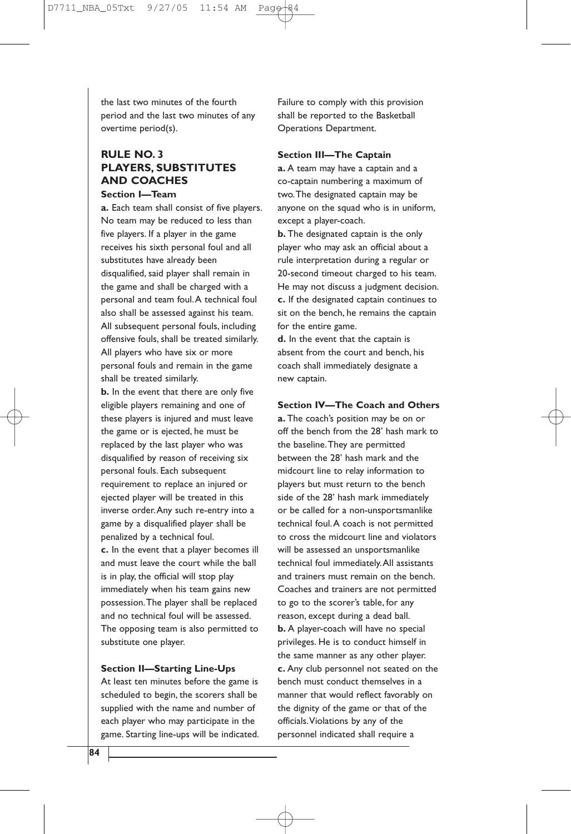the last two minutes of the fourth period and the last two minutes of any overtime period(s).

### **RULE NO. 3 PLAYERS, SUBSTITUTES AND COACHES Section I—Team**

**a.** Each team shall consist of five players. No team may be reduced to less than five players. If a player in the game receives his sixth personal foul and all substitutes have already been disqualified, said player shall remain in the game and shall be charged with a personal and team foul.A technical foul also shall be assessed against his team. All subsequent personal fouls, including offensive fouls, shall be treated similarly. All players who have six or more personal fouls and remain in the game shall be treated similarly.

**b.** In the event that there are only five eligible players remaining and one of these players is injured and must leave the game or is ejected, he must be replaced by the last player who was disqualified by reason of receiving six personal fouls. Each subsequent requirement to replace an injured or ejected player will be treated in this inverse order.Any such re-entry into a game by a disqualified player shall be penalized by a technical foul. **c.** In the event that a player becomes ill and must leave the court while the ball is in play, the official will stop play immediately when his team gains new possession.The player shall be replaced and no technical foul will be assessed. The opposing team is also permitted to substitute one player.

#### **Section II—Starting Line-Ups**

At least ten minutes before the game is scheduled to begin, the scorers shall be supplied with the name and number of each player who may participate in the game. Starting line-ups will be indicated. Failure to comply with this provision shall be reported to the Basketball Operations Department.

#### **Section III—The Captain**

**a.** A team may have a captain and a co-captain numbering a maximum of two.The designated captain may be anyone on the squad who is in uniform, except a player-coach.

**b.** The designated captain is the only player who may ask an official about a rule interpretation during a regular or 20-second timeout charged to his team. He may not discuss a judgment decision. **c.** If the designated captain continues to sit on the bench, he remains the captain for the entire game.

**d.** In the event that the captain is absent from the court and bench, his coach shall immediately designate a new captain.

#### **Section IV—The Coach and Others**

**a.** The coach's position may be on or off the bench from the 28' hash mark to the baseline.They are permitted between the 28' hash mark and the midcourt line to relay information to players but must return to the bench side of the 28' hash mark immediately or be called for a non-unsportsmanlike technical foul.A coach is not permitted to cross the midcourt line and violators will be assessed an unsportsmanlike technical foul immediately.All assistants and trainers must remain on the bench. Coaches and trainers are not permitted to go to the scorer's table, for any reason, except during a dead ball. **b.** A player-coach will have no special privileges. He is to conduct himself in the same manner as any other player. **c.** Any club personnel not seated on the bench must conduct themselves in a manner that would reflect favorably on the dignity of the game or that of the officials.Violations by any of the personnel indicated shall require a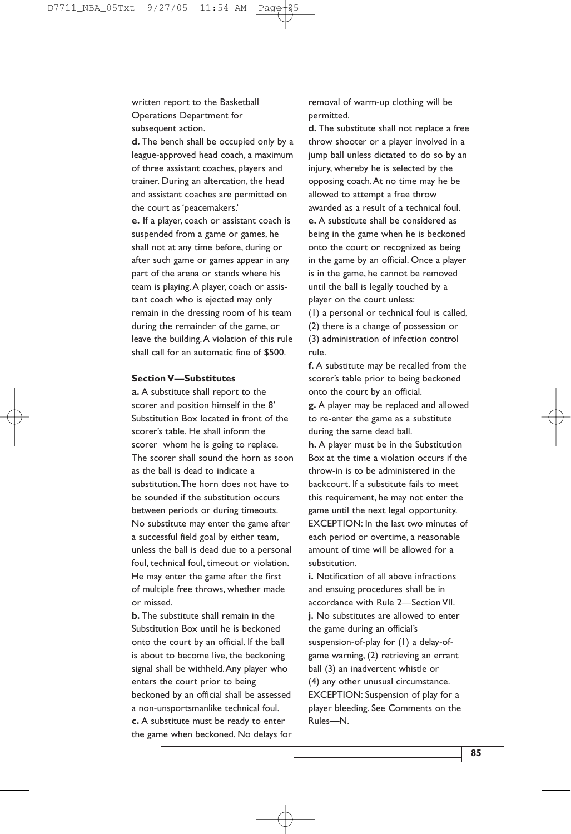written report to the Basketball Operations Department for subsequent action.

**d.** The bench shall be occupied only by a league-approved head coach, a maximum of three assistant coaches, players and trainer. During an altercation, the head and assistant coaches are permitted on the court as 'peacemakers.'

**e.** If a player, coach or assistant coach is suspended from a game or games, he shall not at any time before, during or after such game or games appear in any part of the arena or stands where his team is playing.A player, coach or assistant coach who is ejected may only remain in the dressing room of his team during the remainder of the game, or leave the building.A violation of this rule shall call for an automatic fine of \$500.

#### **Section V—Substitutes**

**a.** A substitute shall report to the scorer and position himself in the 8' Substitution Box located in front of the scorer's table. He shall inform the scorer whom he is going to replace. The scorer shall sound the horn as soon as the ball is dead to indicate a substitution.The horn does not have to be sounded if the substitution occurs between periods or during timeouts. No substitute may enter the game after a successful field goal by either team, unless the ball is dead due to a personal foul, technical foul, timeout or violation. He may enter the game after the first of multiple free throws, whether made or missed.

**b.** The substitute shall remain in the Substitution Box until he is beckoned onto the court by an official. If the ball is about to become live, the beckoning signal shall be withheld.Any player who enters the court prior to being beckoned by an official shall be assessed a non-unsportsmanlike technical foul. **c.** A substitute must be ready to enter the game when beckoned. No delays for

removal of warm-up clothing will be permitted.

**d.** The substitute shall not replace a free throw shooter or a player involved in a jump ball unless dictated to do so by an injury, whereby he is selected by the opposing coach.At no time may he be allowed to attempt a free throw awarded as a result of a technical foul. **e.** A substitute shall be considered as being in the game when he is beckoned onto the court or recognized as being in the game by an official. Once a player is in the game, he cannot be removed until the ball is legally touched by a player on the court unless:

(1) a personal or technical foul is called,

(2) there is a change of possession or (3) administration of infection control rule.

**f.** A substitute may be recalled from the scorer's table prior to being beckoned onto the court by an official.

**g.** A player may be replaced and allowed to re-enter the game as a substitute during the same dead ball.

**h.** A player must be in the Substitution Box at the time a violation occurs if the throw-in is to be administered in the backcourt. If a substitute fails to meet this requirement, he may not enter the game until the next legal opportunity. EXCEPTION: In the last two minutes of each period or overtime, a reasonable amount of time will be allowed for a substitution.

**i.** Notification of all above infractions and ensuing procedures shall be in accordance with Rule 2—Section VII. **j.** No substitutes are allowed to enter the game during an official's suspension-of-play for (1) a delay-ofgame warning, (2) retrieving an errant ball (3) an inadvertent whistle or (4) any other unusual circumstance. EXCEPTION: Suspension of play for a player bleeding. See Comments on the Rules—N.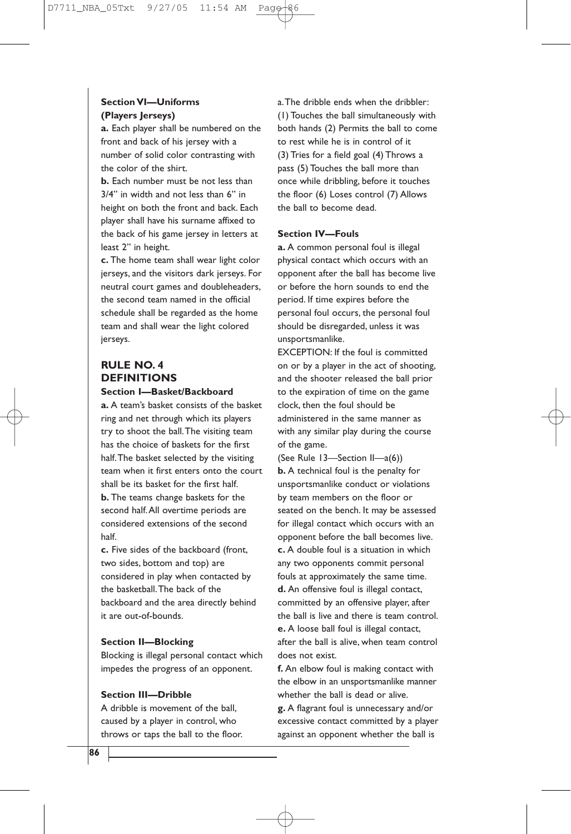### **Section VI—Uniforms (Players Jerseys)**

**a.** Each player shall be numbered on the front and back of his jersey with a number of solid color contrasting with the color of the shirt.

**b.** Each number must be not less than 3/4" in width and not less than 6" in height on both the front and back. Each player shall have his surname affixed to the back of his game jersey in letters at least 2" in height.

**c.** The home team shall wear light color jerseys, and the visitors dark jerseys. For neutral court games and doubleheaders, the second team named in the official schedule shall be regarded as the home team and shall wear the light colored jerseys.

# **RULE NO. 4 DEFINITIONS**

#### **Section I—Basket/Backboard**

**a.** A team's basket consists of the basket ring and net through which its players try to shoot the ball.The visiting team has the choice of baskets for the first half.The basket selected by the visiting team when it first enters onto the court shall be its basket for the first half. **b.** The teams change baskets for the second half.All overtime periods are considered extensions of the second half.

**c.** Five sides of the backboard (front, two sides, bottom and top) are considered in play when contacted by the basketball.The back of the backboard and the area directly behind it are out-of-bounds.

### **Section II—Blocking**

Blocking is illegal personal contact which impedes the progress of an opponent.

### **Section III—Dribble**

A dribble is movement of the ball, caused by a player in control, who throws or taps the ball to the floor.

a.The dribble ends when the dribbler: (1) Touches the ball simultaneously with both hands (2) Permits the ball to come to rest while he is in control of it (3) Tries for a field goal (4) Throws a pass (5) Touches the ball more than once while dribbling, before it touches the floor (6) Loses control (7) Allows the ball to become dead.

### **Section IV—Fouls**

**a.** A common personal foul is illegal physical contact which occurs with an opponent after the ball has become live or before the horn sounds to end the period. If time expires before the personal foul occurs, the personal foul should be disregarded, unless it was unsportsmanlike.

EXCEPTION: If the foul is committed on or by a player in the act of shooting, and the shooter released the ball prior to the expiration of time on the game clock, then the foul should be administered in the same manner as with any similar play during the course of the game.

(See Rule 13—Section II—a(6)) **b.** A technical foul is the penalty for unsportsmanlike conduct or violations by team members on the floor or seated on the bench. It may be assessed for illegal contact which occurs with an opponent before the ball becomes live. **c.** A double foul is a situation in which any two opponents commit personal fouls at approximately the same time. **d.** An offensive foul is illegal contact, committed by an offensive player, after the ball is live and there is team control. **e.** A loose ball foul is illegal contact, after the ball is alive, when team control does not exist.

**f.** An elbow foul is making contact with the elbow in an unsportsmanlike manner whether the ball is dead or alive.

**g.** A flagrant foul is unnecessary and/or excessive contact committed by a player against an opponent whether the ball is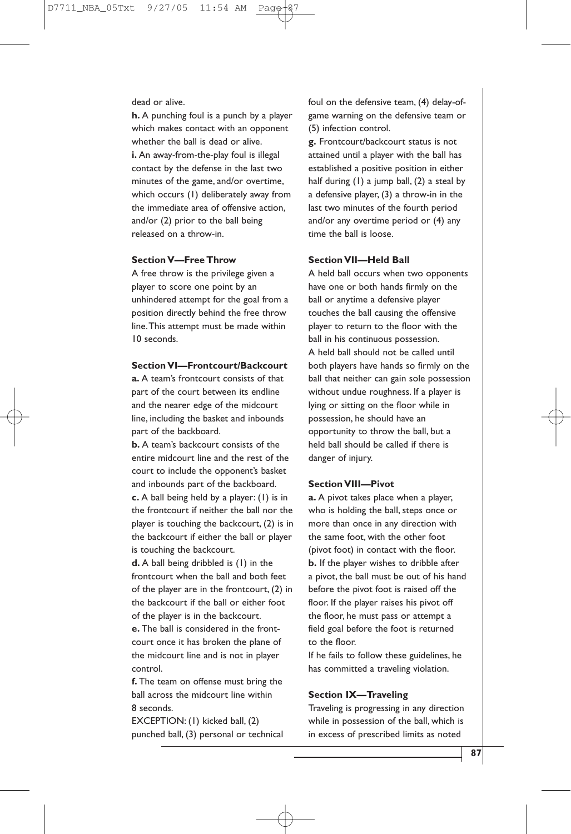dead or alive.

**h.** A punching foul is a punch by a player which makes contact with an opponent whether the ball is dead or alive. **i.** An away-from-the-play foul is illegal contact by the defense in the last two minutes of the game, and/or overtime, which occurs (1) deliberately away from the immediate area of offensive action, and/or (2) prior to the ball being released on a throw-in.

#### **Section V—Free Throw**

A free throw is the privilege given a player to score one point by an unhindered attempt for the goal from a position directly behind the free throw line.This attempt must be made within 10 seconds.

### **Section VI—Frontcourt/Backcourt**

**a.** A team's frontcourt consists of that part of the court between its endline and the nearer edge of the midcourt line, including the basket and inbounds part of the backboard.

**b.** A team's backcourt consists of the entire midcourt line and the rest of the court to include the opponent's basket and inbounds part of the backboard.

**c.** A ball being held by a player: (1) is in the frontcourt if neither the ball nor the player is touching the backcourt, (2) is in the backcourt if either the ball or player is touching the backcourt.

**d.** A ball being dribbled is (1) in the frontcourt when the ball and both feet of the player are in the frontcourt, (2) in the backcourt if the ball or either foot of the player is in the backcourt.

**e.** The ball is considered in the frontcourt once it has broken the plane of the midcourt line and is not in player control.

**f.** The team on offense must bring the ball across the midcourt line within 8 seconds.

EXCEPTION: (1) kicked ball, (2) punched ball, (3) personal or technical foul on the defensive team, (4) delay-ofgame warning on the defensive team or (5) infection control.

**g.** Frontcourt/backcourt status is not attained until a player with the ball has established a positive position in either half during (1) a jump ball, (2) a steal by a defensive player, (3) a throw-in in the last two minutes of the fourth period and/or any overtime period or (4) any time the ball is loose.

### **Section VII—Held Ball**

A held ball occurs when two opponents have one or both hands firmly on the ball or anytime a defensive player touches the ball causing the offensive player to return to the floor with the ball in his continuous possession. A held ball should not be called until both players have hands so firmly on the ball that neither can gain sole possession without undue roughness. If a player is lying or sitting on the floor while in possession, he should have an opportunity to throw the ball, but a held ball should be called if there is danger of injury.

### **Section VIII—Pivot**

**a.** A pivot takes place when a player, who is holding the ball, steps once or more than once in any direction with the same foot, with the other foot (pivot foot) in contact with the floor. **b.** If the player wishes to dribble after a pivot, the ball must be out of his hand before the pivot foot is raised off the floor. If the player raises his pivot off the floor, he must pass or attempt a field goal before the foot is returned to the floor.

If he fails to follow these guidelines, he has committed a traveling violation.

#### **Section IX—Traveling**

Traveling is progressing in any direction while in possession of the ball, which is in excess of prescribed limits as noted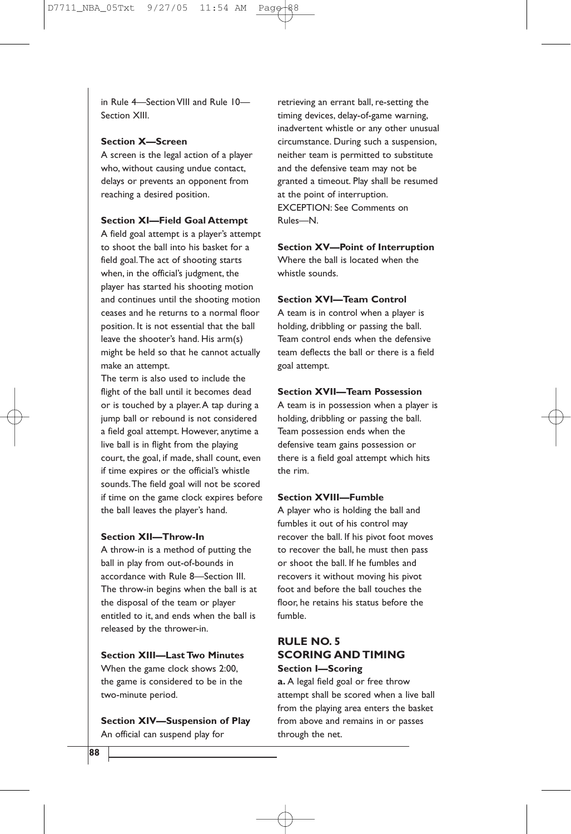in Rule 4—Section VIII and Rule 10— Section XIII.

### **Section X—Screen**

A screen is the legal action of a player who, without causing undue contact, delays or prevents an opponent from reaching a desired position.

#### **Section XI—Field Goal Attempt**

A field goal attempt is a player's attempt to shoot the ball into his basket for a field goal.The act of shooting starts when, in the official's judgment, the player has started his shooting motion and continues until the shooting motion ceases and he returns to a normal floor position. It is not essential that the ball leave the shooter's hand. His arm(s) might be held so that he cannot actually make an attempt.

The term is also used to include the flight of the ball until it becomes dead or is touched by a player.A tap during a jump ball or rebound is not considered a field goal attempt. However, anytime a live ball is in flight from the playing court, the goal, if made, shall count, even if time expires or the official's whistle sounds.The field goal will not be scored if time on the game clock expires before the ball leaves the player's hand.

### **Section XII—Throw-In**

A throw-in is a method of putting the ball in play from out-of-bounds in accordance with Rule 8—Section III. The throw-in begins when the ball is at the disposal of the team or player entitled to it, and ends when the ball is released by the thrower-in.

### **Section XIII—Last Two Minutes**

When the game clock shows 2:00, the game is considered to be in the two-minute period.

**Section XIV—Suspension of Play** An official can suspend play for

retrieving an errant ball, re-setting the timing devices, delay-of-game warning, inadvertent whistle or any other unusual circumstance. During such a suspension, neither team is permitted to substitute and the defensive team may not be granted a timeout. Play shall be resumed at the point of interruption. EXCEPTION: See Comments on Rules—N.

# **Section XV—Point of Interruption**

Where the ball is located when the whistle sounds.

### **Section XVI—Team Control**

A team is in control when a player is holding, dribbling or passing the ball. Team control ends when the defensive team deflects the ball or there is a field goal attempt.

### **Section XVII—Team Possession**

A team is in possession when a player is holding, dribbling or passing the ball. Team possession ends when the defensive team gains possession or there is a field goal attempt which hits the rim.

#### **Section XVIII—Fumble**

A player who is holding the ball and fumbles it out of his control may recover the ball. If his pivot foot moves to recover the ball, he must then pass or shoot the ball. If he fumbles and recovers it without moving his pivot foot and before the ball touches the floor, he retains his status before the fumble.

# **RULE NO. 5 SCORING AND TIMING Section I—Scoring**

**a.** A legal field goal or free throw attempt shall be scored when a live ball from the playing area enters the basket from above and remains in or passes through the net.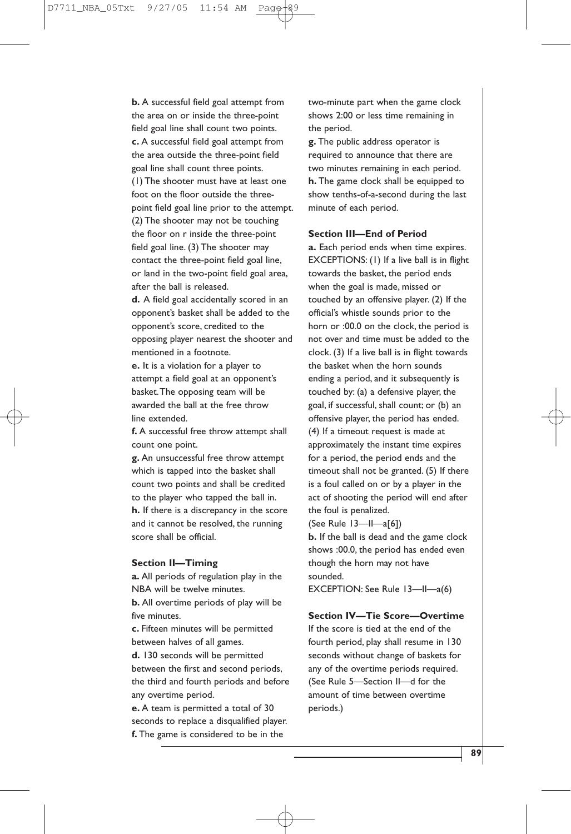**b.** A successful field goal attempt from the area on or inside the three-point field goal line shall count two points. **c.** A successful field goal attempt from the area outside the three-point field goal line shall count three points. (1) The shooter must have at least one foot on the floor outside the threepoint field goal line prior to the attempt. (2) The shooter may not be touching the floor on r inside the three-point field goal line. (3) The shooter may contact the three-point field goal line, or land in the two-point field goal area, after the ball is released.

**d.** A field goal accidentally scored in an opponent's basket shall be added to the opponent's score, credited to the opposing player nearest the shooter and mentioned in a footnote.

**e.** It is a violation for a player to attempt a field goal at an opponent's basket.The opposing team will be awarded the ball at the free throw line extended.

**f.** A successful free throw attempt shall count one point.

**g.** An unsuccessful free throw attempt which is tapped into the basket shall count two points and shall be credited to the player who tapped the ball in. **h.** If there is a discrepancy in the score and it cannot be resolved, the running score shall be official.

#### **Section II—Timing**

**a.** All periods of regulation play in the NBA will be twelve minutes.

**b.** All overtime periods of play will be five minutes.

**c.** Fifteen minutes will be permitted between halves of all games.

**d.** 130 seconds will be permitted between the first and second periods, the third and fourth periods and before any overtime period.

**e.** A team is permitted a total of 30 seconds to replace a disqualified player. **f.** The game is considered to be in the

two-minute part when the game clock shows 2:00 or less time remaining in the period.

**g.** The public address operator is required to announce that there are two minutes remaining in each period. **h.** The game clock shall be equipped to show tenths-of-a-second during the last minute of each period.

#### **Section III—End of Period**

**a.** Each period ends when time expires. EXCEPTIONS: (1) If a live ball is in flight towards the basket, the period ends when the goal is made, missed or touched by an offensive player. (2) If the official's whistle sounds prior to the horn or :00.0 on the clock, the period is not over and time must be added to the clock. (3) If a live ball is in flight towards the basket when the horn sounds ending a period, and it subsequently is touched by: (a) a defensive player, the goal, if successful, shall count; or (b) an offensive player, the period has ended. (4) If a timeout request is made at approximately the instant time expires for a period, the period ends and the timeout shall not be granted. (5) If there is a foul called on or by a player in the act of shooting the period will end after the foul is penalized.

(See Rule 13—II—a[6])

**b.** If the ball is dead and the game clock shows :00.0, the period has ended even though the horn may not have sounded.

EXCEPTION: See Rule 13—II—a(6)

### **Section IV—Tie Score—Overtime**

If the score is tied at the end of the fourth period, play shall resume in 130 seconds without change of baskets for any of the overtime periods required. (See Rule 5—Section II—d for the amount of time between overtime periods.)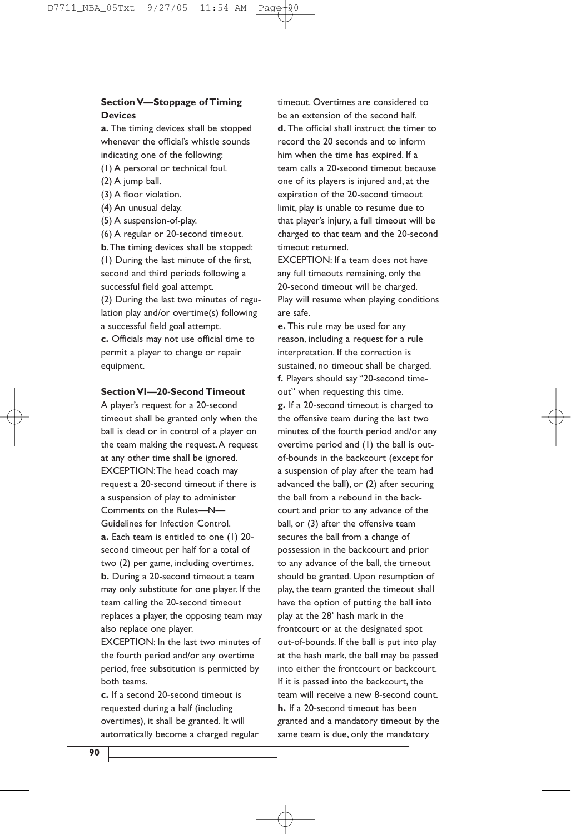# **Section V—Stoppage of Timing Devices**

**a.** The timing devices shall be stopped whenever the official's whistle sounds indicating one of the following:

(1) A personal or technical foul.

- (2) A jump ball.
- (3) A floor violation.
- (4) An unusual delay.
- (5) A suspension-of-play.

(6) A regular or 20-second timeout. **b**.The timing devices shall be stopped: (1) During the last minute of the first, second and third periods following a successful field goal attempt.

(2) During the last two minutes of regulation play and/or overtime(s) following a successful field goal attempt.

**c.** Officials may not use official time to permit a player to change or repair equipment.

### **Section VI—20-Second Timeout**

A player's request for a 20-second timeout shall be granted only when the ball is dead or in control of a player on the team making the request.A request at any other time shall be ignored. EXCEPTION:The head coach may request a 20-second timeout if there is a suspension of play to administer Comments on the Rules—N— Guidelines for Infection Control. **a.** Each team is entitled to one (1) 20 second timeout per half for a total of two (2) per game, including overtimes. **b.** During a 20-second timeout a team may only substitute for one player. If the team calling the 20-second timeout replaces a player, the opposing team may also replace one player. EXCEPTION: In the last two minutes of

the fourth period and/or any overtime period, free substitution is permitted by both teams.

**c.** If a second 20-second timeout is requested during a half (including overtimes), it shall be granted. It will automatically become a charged regular timeout. Overtimes are considered to be an extension of the second half. **d.** The official shall instruct the timer to record the 20 seconds and to inform him when the time has expired. If a team calls a 20-second timeout because one of its players is injured and, at the expiration of the 20-second timeout limit, play is unable to resume due to that player's injury, a full timeout will be charged to that team and the 20-second timeout returned.

EXCEPTION: If a team does not have any full timeouts remaining, only the 20-second timeout will be charged. Play will resume when playing conditions are safe.

**e.** This rule may be used for any reason, including a request for a rule interpretation. If the correction is sustained, no timeout shall be charged. **f.** Players should say "20-second timeout" when requesting this time. **g.** If a 20-second timeout is charged to the offensive team during the last two minutes of the fourth period and/or any overtime period and (1) the ball is outof-bounds in the backcourt (except for a suspension of play after the team had advanced the ball), or (2) after securing the ball from a rebound in the backcourt and prior to any advance of the ball, or (3) after the offensive team secures the ball from a change of possession in the backcourt and prior to any advance of the ball, the timeout should be granted. Upon resumption of play, the team granted the timeout shall have the option of putting the ball into play at the 28' hash mark in the frontcourt or at the designated spot out-of-bounds. If the ball is put into play at the hash mark, the ball may be passed into either the frontcourt or backcourt. If it is passed into the backcourt, the team will receive a new 8-second count. **h.** If a 20-second timeout has been granted and a mandatory timeout by the same team is due, only the mandatory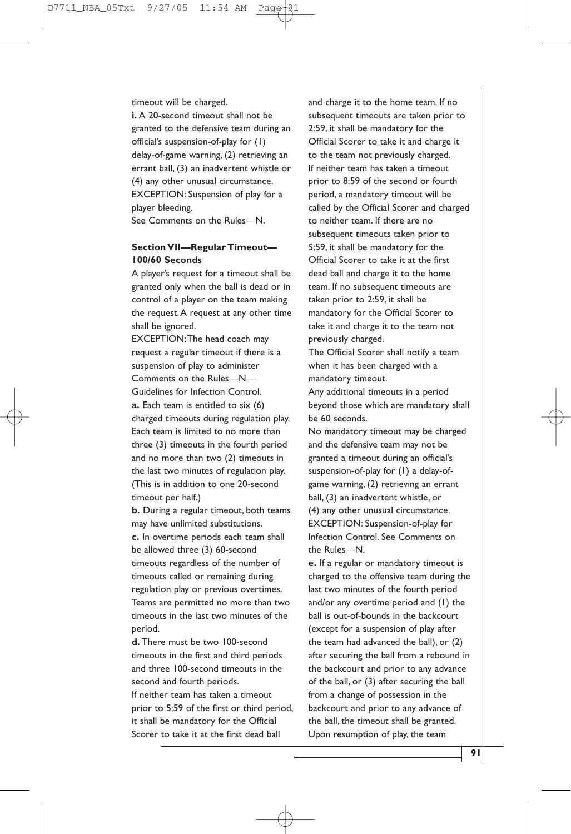timeout will be charged.

**i.** A 20-second timeout shall not be granted to the defensive team during an official's suspension-of-play for (1) delay-of-game warning, (2) retrieving an errant ball, (3) an inadvertent whistle or (4) any other unusual circumstance. EXCEPTION: Suspension of play for a player bleeding.

See Comments on the Rules—N.

### **Section VII—Regular Timeout— 100/60 Seconds**

A player's request for a timeout shall be granted only when the ball is dead or in control of a player on the team making the request.A request at any other time shall be ignored.

EXCEPTION:The head coach may request a regular timeout if there is a suspension of play to administer Comments on the Rules—N— Guidelines for Infection Control. **a.** Each team is entitled to six (6) charged timeouts during regulation play. Each team is limited to no more than three (3) timeouts in the fourth period and no more than two (2) timeouts in the last two minutes of regulation play. (This is in addition to one 20-second timeout per half.)

**b.** During a regular timeout, both teams may have unlimited substitutions. **c.** In overtime periods each team shall be allowed three (3) 60-second timeouts regardless of the number of timeouts called or remaining during regulation play or previous overtimes. Teams are permitted no more than two timeouts in the last two minutes of the period.

**d.** There must be two 100-second timeouts in the first and third periods and three 100-second timeouts in the second and fourth periods. If neither team has taken a timeout prior to 5:59 of the first or third period, it shall be mandatory for the Official Scorer to take it at the first dead ball

and charge it to the home team. If no subsequent timeouts are taken prior to 2:59, it shall be mandatory for the Official Scorer to take it and charge it to the team not previously charged. If neither team has taken a timeout prior to 8:59 of the second or fourth period, a mandatory timeout will be called by the Official Scorer and charged to neither team. If there are no subsequent timeouts taken prior to 5:59, it shall be mandatory for the Official Scorer to take it at the first dead ball and charge it to the home team. If no subsequent timeouts are taken prior to 2:59, it shall be mandatory for the Official Scorer to take it and charge it to the team not previously charged.

The Official Scorer shall notify a team when it has been charged with a mandatory timeout.

Any additional timeouts in a period beyond those which are mandatory shall be 60 seconds.

No mandatory timeout may be charged and the defensive team may not be granted a timeout during an official's suspension-of-play for (1) a delay-ofgame warning, (2) retrieving an errant ball, (3) an inadvertent whistle, or (4) any other unusual circumstance. EXCEPTION: Suspension-of-play for Infection Control. See Comments on the Rules—N.

**e.** If a regular or mandatory timeout is charged to the offensive team during the last two minutes of the fourth period and/or any overtime period and (1) the ball is out-of-bounds in the backcourt (except for a suspension of play after the team had advanced the ball), or (2) after securing the ball from a rebound in the backcourt and prior to any advance of the ball, or (3) after securing the ball from a change of possession in the backcourt and prior to any advance of the ball, the timeout shall be granted. Upon resumption of play, the team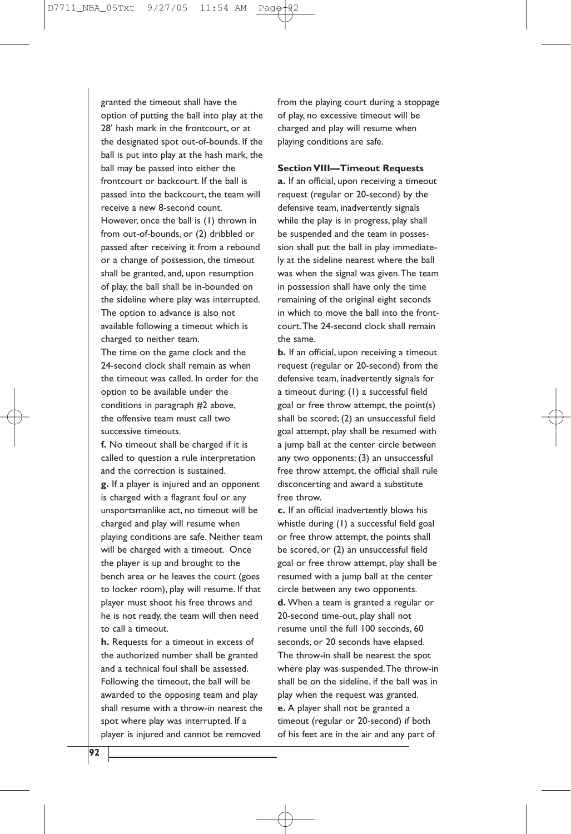granted the timeout shall have the option of putting the ball into play at the 28' hash mark in the frontcourt, or at the designated spot out-of-bounds. If the ball is put into play at the hash mark, the ball may be passed into either the frontcourt or backcourt. If the ball is passed into the backcourt, the team will receive a new 8-second count. However, once the ball is (1) thrown in from out-of-bounds, or (2) dribbled or passed after receiving it from a rebound or a change of possession, the timeout shall be granted, and, upon resumption of play, the ball shall be in-bounded on the sideline where play was interrupted. The option to advance is also not available following a timeout which is charged to neither team.

The time on the game clock and the 24-second clock shall remain as when the timeout was called. In order for the option to be available under the conditions in paragraph #2 above, the offensive team must call two successive timeouts.

**f.** No timeout shall be charged if it is called to question a rule interpretation and the correction is sustained. **g.** If a player is injured and an opponent is charged with a flagrant foul or any unsportsmanlike act, no timeout will be charged and play will resume when playing conditions are safe. Neither team will be charged with a timeout. Once the player is up and brought to the bench area or he leaves the court (goes to locker room), play will resume. If that player must shoot his free throws and he is not ready, the team will then need to call a timeout.

**h.** Requests for a timeout in excess of the authorized number shall be granted and a technical foul shall be assessed. Following the timeout, the ball will be awarded to the opposing team and play shall resume with a throw-in nearest the spot where play was interrupted. If a player is injured and cannot be removed

from the playing court during a stoppage of play, no excessive timeout will be charged and play will resume when playing conditions are safe.

#### **Section VIII—Timeout Requests**

**a.** If an official, upon receiving a timeout request (regular or 20-second) by the defensive team, inadvertently signals while the play is in progress, play shall be suspended and the team in possession shall put the ball in play immediately at the sideline nearest where the ball was when the signal was given.The team in possession shall have only the time remaining of the original eight seconds in which to move the ball into the frontcourt.The 24-second clock shall remain the same.

**b.** If an official, upon receiving a timeout request (regular or 20-second) from the defensive team, inadvertently signals for a timeout during: (1) a successful field goal or free throw attempt, the point(s) shall be scored; (2) an unsuccessful field goal attempt, play shall be resumed with a jump ball at the center circle between any two opponents; (3) an unsuccessful free throw attempt, the official shall rule disconcerting and award a substitute free throw.

**c.** If an official inadvertently blows his whistle during (1) a successful field goal or free throw attempt, the points shall be scored, or (2) an unsuccessful field goal or free throw attempt, play shall be resumed with a jump ball at the center circle between any two opponents. **d.** When a team is granted a regular or 20-second time-out, play shall not resume until the full 100 seconds, 60 seconds, or 20 seconds have elapsed. The throw-in shall be nearest the spot where play was suspended.The throw-in shall be on the sideline, if the ball was in play when the request was granted. **e.** A player shall not be granted a timeout (regular or 20-second) if both of his feet are in the air and any part of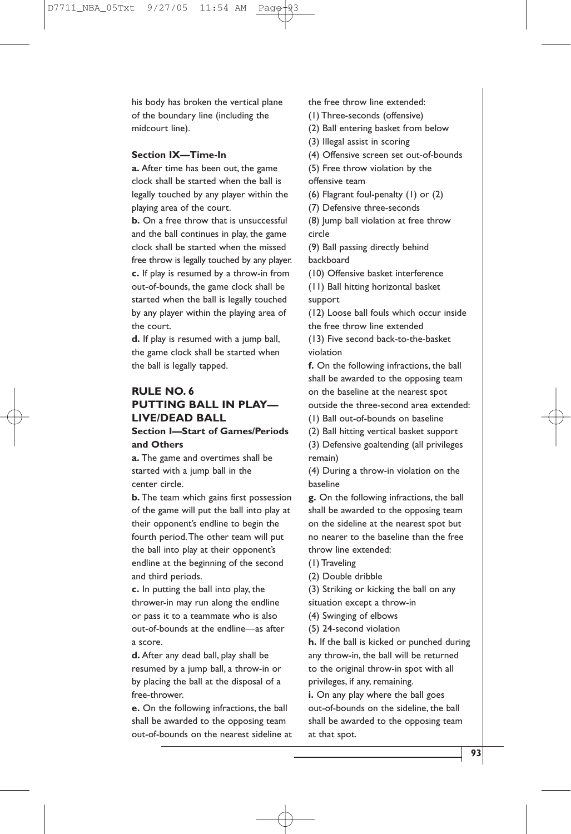his body has broken the vertical plane of the boundary line (including the midcourt line).

### **Section IX—Time-In**

**a.** After time has been out, the game clock shall be started when the ball is legally touched by any player within the playing area of the court.

**b.** On a free throw that is unsuccessful and the ball continues in play, the game clock shall be started when the missed free throw is legally touched by any player. **c.** If play is resumed by a throw-in from out-of-bounds, the game clock shall be started when the ball is legally touched by any player within the playing area of the court.

**d.** If play is resumed with a jump ball, the game clock shall be started when the ball is legally tapped.

# **RULE NO. 6 PUTTING BALL IN PLAY— LIVE/DEAD BALL**

### **Section I—Start of Games/Periods and Others**

**a.** The game and overtimes shall be started with a jump ball in the center circle.

**b.** The team which gains first possession of the game will put the ball into play at their opponent's endline to begin the fourth period.The other team will put the ball into play at their opponent's endline at the beginning of the second and third periods.

**c.** In putting the ball into play, the thrower-in may run along the endline or pass it to a teammate who is also out-of-bounds at the endline—as after a score.

**d.** After any dead ball, play shall be resumed by a jump ball, a throw-in or by placing the ball at the disposal of a free-thrower.

**e.** On the following infractions, the ball shall be awarded to the opposing team out-of-bounds on the nearest sideline at the free throw line extended:

(1) Three-seconds (offensive)

(2) Ball entering basket from below

(3) Illegal assist in scoring

(4) Offensive screen set out-of-bounds

(5) Free throw violation by the offensive team

(6) Flagrant foul-penalty (1) or (2)

(7) Defensive three-seconds

(8) Jump ball violation at free throw circle

(9) Ball passing directly behind backboard

(10) Offensive basket interference

(11) Ball hitting horizontal basket support

(12) Loose ball fouls which occur inside the free throw line extended

(13) Five second back-to-the-basket violation

**f.** On the following infractions, the ball shall be awarded to the opposing team on the baseline at the nearest spot outside the three-second area extended:

(1) Ball out-of-bounds on baseline

(2) Ball hitting vertical basket support (3) Defensive goaltending (all privileges remain)

(4) During a throw-in violation on the baseline

**g.** On the following infractions, the ball shall be awarded to the opposing team on the sideline at the nearest spot but no nearer to the baseline than the free throw line extended:

(1) Traveling

(2) Double dribble

(3) Striking or kicking the ball on any situation except a throw-in

(4) Swinging of elbows

(5) 24-second violation

**h.** If the ball is kicked or punched during any throw-in, the ball will be returned to the original throw-in spot with all privileges, if any, remaining.

**i.** On any play where the ball goes out-of-bounds on the sideline, the ball shall be awarded to the opposing team at that spot.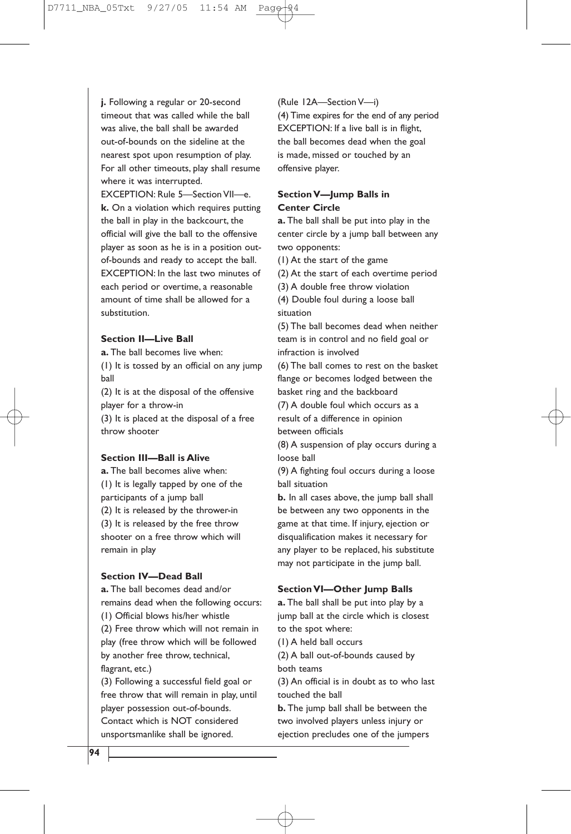**j.** Following a regular or 20-second timeout that was called while the ball was alive, the ball shall be awarded out-of-bounds on the sideline at the nearest spot upon resumption of play. For all other timeouts, play shall resume where it was interrupted. EXCEPTION: Rule 5—Section VII—e. **k.** On a violation which requires putting the ball in play in the backcourt, the official will give the ball to the offensive player as soon as he is in a position outof-bounds and ready to accept the ball. EXCEPTION: In the last two minutes of each period or overtime, a reasonable amount of time shall be allowed for a substitution.

### **Section II—Live Ball**

**a.** The ball becomes live when:

(1) It is tossed by an official on any jump ball

(2) It is at the disposal of the offensive player for a throw-in

(3) It is placed at the disposal of a free throw shooter

#### **Section III—Ball is Alive**

**a.** The ball becomes alive when: (1) It is legally tapped by one of the participants of a jump ball (2) It is released by the thrower-in (3) It is released by the free throw shooter on a free throw which will remain in play

### **Section IV—Dead Ball**

**a.** The ball becomes dead and/or remains dead when the following occurs:

(1) Official blows his/her whistle

(2) Free throw which will not remain in play (free throw which will be followed by another free throw, technical, flagrant, etc.)

(3) Following a successful field goal or free throw that will remain in play, until player possession out-of-bounds. Contact which is NOT considered unsportsmanlike shall be ignored.

#### (Rule 12A—Section V—i)

(4) Time expires for the end of any period EXCEPTION: If a live ball is in flight, the ball becomes dead when the goal is made, missed or touched by an offensive player.

### **Section V—Jump Balls in Center Circle**

**a.** The ball shall be put into play in the center circle by a jump ball between any two opponents:

(1) At the start of the game

(2) At the start of each overtime period

(3) A double free throw violation

(4) Double foul during a loose ball situation

(5) The ball becomes dead when neither team is in control and no field goal or infraction is involved

(6) The ball comes to rest on the basket flange or becomes lodged between the basket ring and the backboard

(7) A double foul which occurs as a result of a difference in opinion between officials

(8) A suspension of play occurs during a loose ball

(9) A fighting foul occurs during a loose ball situation

**b.** In all cases above, the jump ball shall be between any two opponents in the game at that time. If injury, ejection or disqualification makes it necessary for any player to be replaced, his substitute may not participate in the jump ball.

### **Section VI—Other Jump Balls**

**a.** The ball shall be put into play by a jump ball at the circle which is closest to the spot where:

(1) A held ball occurs

(2) A ball out-of-bounds caused by both teams

(3) An official is in doubt as to who last touched the ball

**b.** The jump ball shall be between the two involved players unless injury or ejection precludes one of the jumpers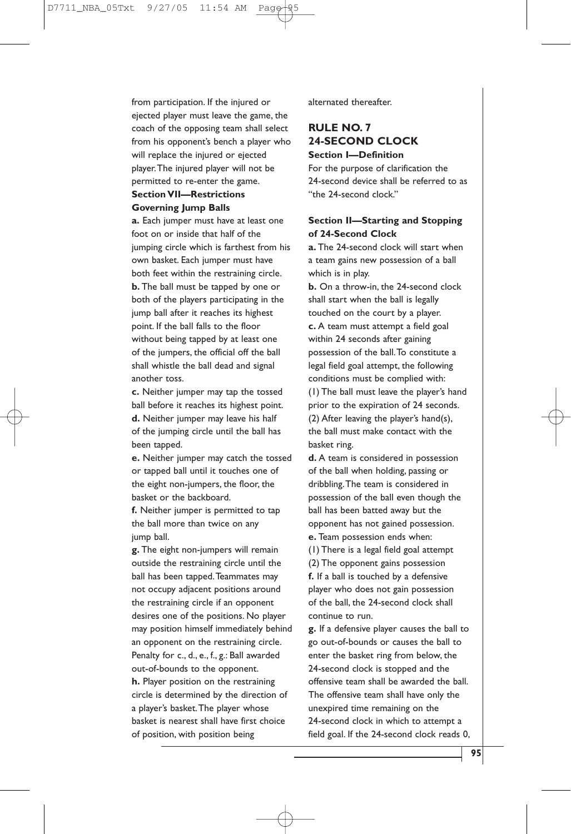from participation. If the injured or ejected player must leave the game, the coach of the opposing team shall select from his opponent's bench a player who will replace the injured or ejected player.The injured player will not be permitted to re-enter the game.

### **Section VII—Restrictions Governing Jump Balls**

**a.** Each jumper must have at least one foot on or inside that half of the jumping circle which is farthest from his own basket. Each jumper must have both feet within the restraining circle. **b.** The ball must be tapped by one or both of the players participating in the jump ball after it reaches its highest point. If the ball falls to the floor without being tapped by at least one of the jumpers, the official off the ball shall whistle the ball dead and signal another toss.

**c.** Neither jumper may tap the tossed ball before it reaches its highest point. **d.** Neither jumper may leave his half of the jumping circle until the ball has been tapped.

**e.** Neither jumper may catch the tossed or tapped ball until it touches one of the eight non-jumpers, the floor, the basket or the backboard.

**f.** Neither jumper is permitted to tap the ball more than twice on any jump ball.

**g.** The eight non-jumpers will remain outside the restraining circle until the ball has been tapped.Teammates may not occupy adjacent positions around the restraining circle if an opponent desires one of the positions. No player may position himself immediately behind an opponent on the restraining circle. Penalty for c., d., e., f., g.: Ball awarded out-of-bounds to the opponent.

**h.** Player position on the restraining circle is determined by the direction of a player's basket.The player whose basket is nearest shall have first choice of position, with position being

alternated thereafter.

# **RULE NO. 7 24-SECOND CLOCK Section I—Definition**

For the purpose of clarification the 24-second device shall be referred to as "the 24-second clock."

# **Section II—Starting and Stopping of 24-Second Clock**

**a.** The 24-second clock will start when a team gains new possession of a ball which is in play.

**b.** On a throw-in, the 24-second clock shall start when the ball is legally touched on the court by a player. **c.** A team must attempt a field goal within 24 seconds after gaining possession of the ball.To constitute a legal field goal attempt, the following conditions must be complied with:

(1) The ball must leave the player's hand prior to the expiration of 24 seconds. (2) After leaving the player's hand(s), the ball must make contact with the basket ring.

**d.** A team is considered in possession of the ball when holding, passing or dribbling.The team is considered in possession of the ball even though the ball has been batted away but the opponent has not gained possession. **e.** Team possession ends when:

(1) There is a legal field goal attempt

(2) The opponent gains possession

**f.** If a ball is touched by a defensive player who does not gain possession of the ball, the 24-second clock shall continue to run.

**g.** If a defensive player causes the ball to go out-of-bounds or causes the ball to enter the basket ring from below, the 24-second clock is stopped and the offensive team shall be awarded the ball. The offensive team shall have only the unexpired time remaining on the 24-second clock in which to attempt a field goal. If the 24-second clock reads 0,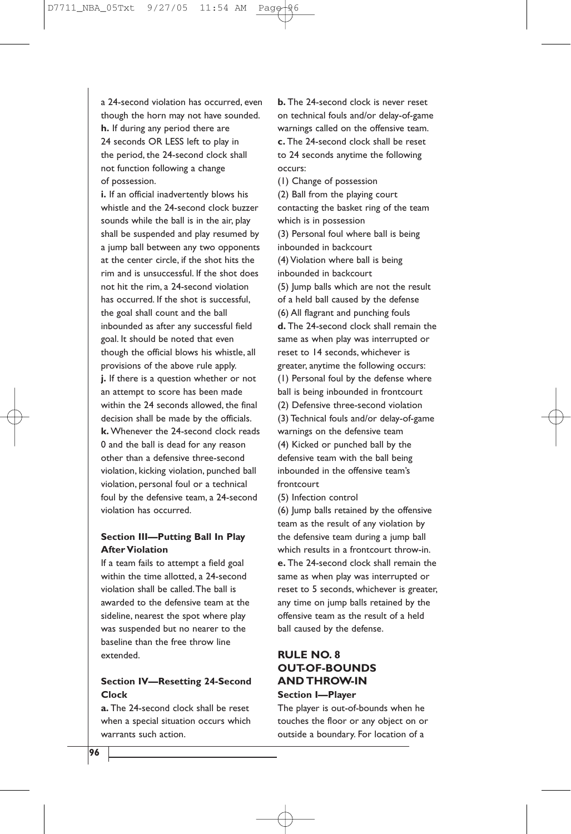a 24-second violation has occurred, even though the horn may not have sounded. **h.** If during any period there are 24 seconds OR LESS left to play in the period, the 24-second clock shall not function following a change of possession.

**i.** If an official inadvertently blows his whistle and the 24-second clock buzzer sounds while the ball is in the air, play shall be suspended and play resumed by a jump ball between any two opponents at the center circle, if the shot hits the rim and is unsuccessful. If the shot does not hit the rim, a 24-second violation has occurred. If the shot is successful, the goal shall count and the ball inbounded as after any successful field goal. It should be noted that even though the official blows his whistle, all provisions of the above rule apply. **j.** If there is a question whether or not an attempt to score has been made within the 24 seconds allowed, the final decision shall be made by the officials. **k.** Whenever the 24-second clock reads 0 and the ball is dead for any reason other than a defensive three-second violation, kicking violation, punched ball violation, personal foul or a technical foul by the defensive team, a 24-second violation has occurred.

# **Section III—Putting Ball In Play After Violation**

If a team fails to attempt a field goal within the time allotted, a 24-second violation shall be called.The ball is awarded to the defensive team at the sideline, nearest the spot where play was suspended but no nearer to the baseline than the free throw line extended.

### **Section IV—Resetting 24-Second Clock**

**a.** The 24-second clock shall be reset when a special situation occurs which warrants such action.

**b.** The 24-second clock is never reset on technical fouls and/or delay-of-game warnings called on the offensive team. **c.** The 24-second clock shall be reset to 24 seconds anytime the following occurs:

(1) Change of possession

(2) Ball from the playing court contacting the basket ring of the team which is in possession

(3) Personal foul where ball is being inbounded in backcourt

(4) Violation where ball is being inbounded in backcourt

(5) Jump balls which are not the result

of a held ball caused by the defense

(6) All flagrant and punching fouls **d.** The 24-second clock shall remain the same as when play was interrupted or reset to 14 seconds, whichever is greater, anytime the following occurs: (1) Personal foul by the defense where

- ball is being inbounded in frontcourt
- (2) Defensive three-second violation
- (3) Technical fouls and/or delay-of-game

warnings on the defensive team (4) Kicked or punched ball by the defensive team with the ball being inbounded in the offensive team's frontcourt

(5) Infection control

(6) Jump balls retained by the offensive team as the result of any violation by the defensive team during a jump ball which results in a frontcourt throw-in. **e.** The 24-second clock shall remain the same as when play was interrupted or reset to 5 seconds, whichever is greater, any time on jump balls retained by the offensive team as the result of a held ball caused by the defense.

# **RULE NO. 8 OUT-OF-BOUNDS AND THROW-IN Section I—Player**

The player is out-of-bounds when he touches the floor or any object on or outside a boundary. For location of a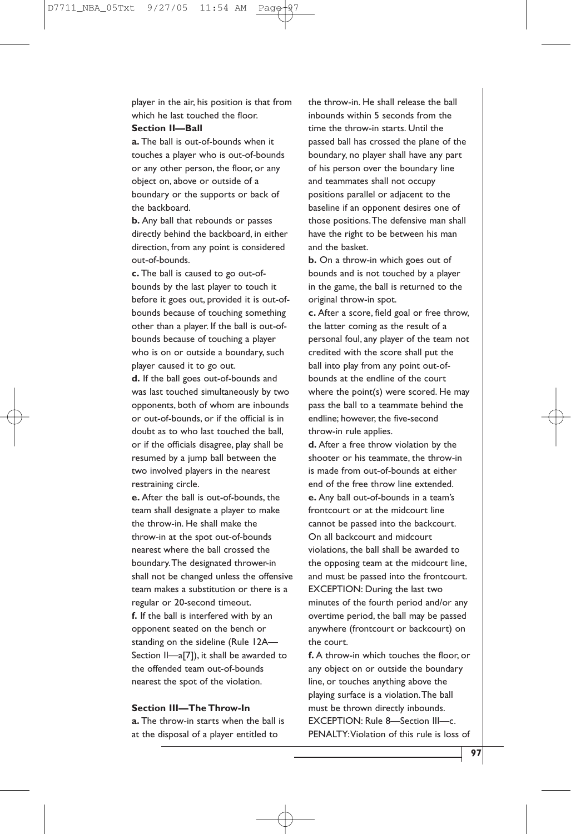player in the air, his position is that from which he last touched the floor.

### **Section II—Ball**

**a.** The ball is out-of-bounds when it touches a player who is out-of-bounds or any other person, the floor, or any object on, above or outside of a boundary or the supports or back of the backboard.

**b.** Any ball that rebounds or passes directly behind the backboard, in either direction, from any point is considered out-of-bounds.

**c.** The ball is caused to go out-ofbounds by the last player to touch it before it goes out, provided it is out-ofbounds because of touching something other than a player. If the ball is out-ofbounds because of touching a player who is on or outside a boundary, such player caused it to go out.

**d.** If the ball goes out-of-bounds and was last touched simultaneously by two opponents, both of whom are inbounds or out-of-bounds, or if the official is in doubt as to who last touched the ball, or if the officials disagree, play shall be resumed by a jump ball between the two involved players in the nearest restraining circle.

**e.** After the ball is out-of-bounds, the team shall designate a player to make the throw-in. He shall make the throw-in at the spot out-of-bounds nearest where the ball crossed the boundary.The designated thrower-in shall not be changed unless the offensive team makes a substitution or there is a regular or 20-second timeout. **f.** If the ball is interfered with by an opponent seated on the bench or standing on the sideline (Rule 12A—

Section II-a[7]), it shall be awarded to the offended team out-of-bounds nearest the spot of the violation.

### **Section III—The Throw-In**

**a.** The throw-in starts when the ball is at the disposal of a player entitled to

the throw-in. He shall release the ball inbounds within 5 seconds from the time the throw-in starts. Until the passed ball has crossed the plane of the boundary, no player shall have any part of his person over the boundary line and teammates shall not occupy positions parallel or adjacent to the baseline if an opponent desires one of those positions.The defensive man shall have the right to be between his man and the basket.

**b.** On a throw-in which goes out of bounds and is not touched by a player in the game, the ball is returned to the original throw-in spot.

**c.** After a score, field goal or free throw, the latter coming as the result of a personal foul, any player of the team not credited with the score shall put the ball into play from any point out-ofbounds at the endline of the court where the point(s) were scored. He may pass the ball to a teammate behind the endline; however, the five-second throw-in rule applies.

**d.** After a free throw violation by the shooter or his teammate, the throw-in is made from out-of-bounds at either end of the free throw line extended. **e.** Any ball out-of-bounds in a team's frontcourt or at the midcourt line cannot be passed into the backcourt. On all backcourt and midcourt violations, the ball shall be awarded to the opposing team at the midcourt line, and must be passed into the frontcourt. EXCEPTION: During the last two minutes of the fourth period and/or any overtime period, the ball may be passed anywhere (frontcourt or backcourt) on the court.

**f.** A throw-in which touches the floor, or any object on or outside the boundary line, or touches anything above the playing surface is a violation.The ball must be thrown directly inbounds. EXCEPTION: Rule 8—Section III—c. PENALTY:Violation of this rule is loss of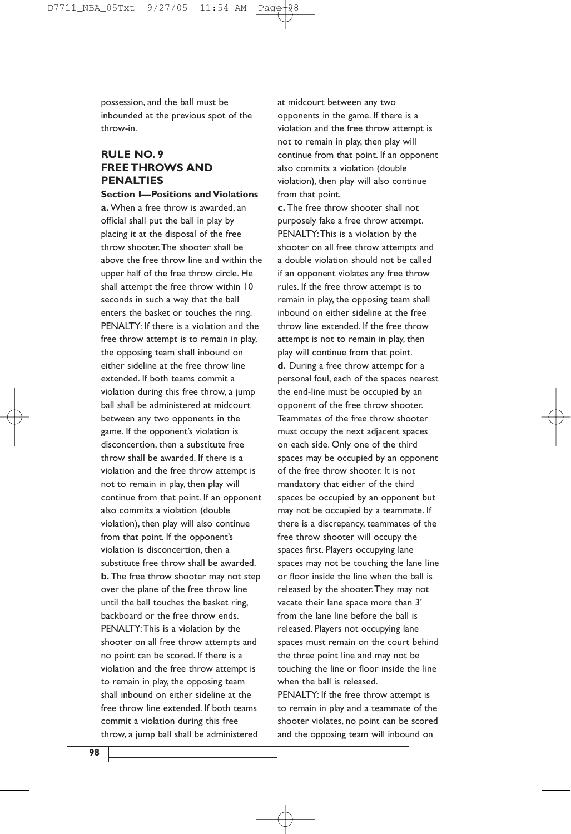possession, and the ball must be inbounded at the previous spot of the throw-in.

### **RULE NO. 9 FREE THROWS AND PENALTIES Section I—Positions and Violations**

**a.** When a free throw is awarded, an official shall put the ball in play by placing it at the disposal of the free throw shooter.The shooter shall be above the free throw line and within the upper half of the free throw circle. He shall attempt the free throw within 10 seconds in such a way that the ball enters the basket or touches the ring. PENALTY: If there is a violation and the free throw attempt is to remain in play, the opposing team shall inbound on either sideline at the free throw line extended. If both teams commit a violation during this free throw, a jump ball shall be administered at midcourt between any two opponents in the game. If the opponent's violation is disconcertion, then a substitute free throw shall be awarded. If there is a violation and the free throw attempt is not to remain in play, then play will continue from that point. If an opponent also commits a violation (double violation), then play will also continue from that point. If the opponent's violation is disconcertion, then a substitute free throw shall be awarded. **b.** The free throw shooter may not step over the plane of the free throw line until the ball touches the basket ring, backboard or the free throw ends. PENALTY:This is a violation by the shooter on all free throw attempts and no point can be scored. If there is a violation and the free throw attempt is to remain in play, the opposing team shall inbound on either sideline at the free throw line extended. If both teams commit a violation during this free throw, a jump ball shall be administered

at midcourt between any two opponents in the game. If there is a violation and the free throw attempt is not to remain in play, then play will continue from that point. If an opponent also commits a violation (double violation), then play will also continue from that point.

**c.** The free throw shooter shall not purposely fake a free throw attempt. PENALTY:This is a violation by the shooter on all free throw attempts and a double violation should not be called if an opponent violates any free throw rules. If the free throw attempt is to remain in play, the opposing team shall inbound on either sideline at the free throw line extended. If the free throw attempt is not to remain in play, then play will continue from that point. **d.** During a free throw attempt for a personal foul, each of the spaces nearest the end-line must be occupied by an opponent of the free throw shooter. Teammates of the free throw shooter must occupy the next adjacent spaces on each side. Only one of the third spaces may be occupied by an opponent of the free throw shooter. It is not mandatory that either of the third spaces be occupied by an opponent but may not be occupied by a teammate. If there is a discrepancy, teammates of the free throw shooter will occupy the spaces first. Players occupying lane spaces may not be touching the lane line or floor inside the line when the ball is released by the shooter.They may not vacate their lane space more than 3' from the lane line before the ball is released. Players not occupying lane spaces must remain on the court behind the three point line and may not be touching the line or floor inside the line when the ball is released. PENALTY: If the free throw attempt is

to remain in play and a teammate of the shooter violates, no point can be scored and the opposing team will inbound on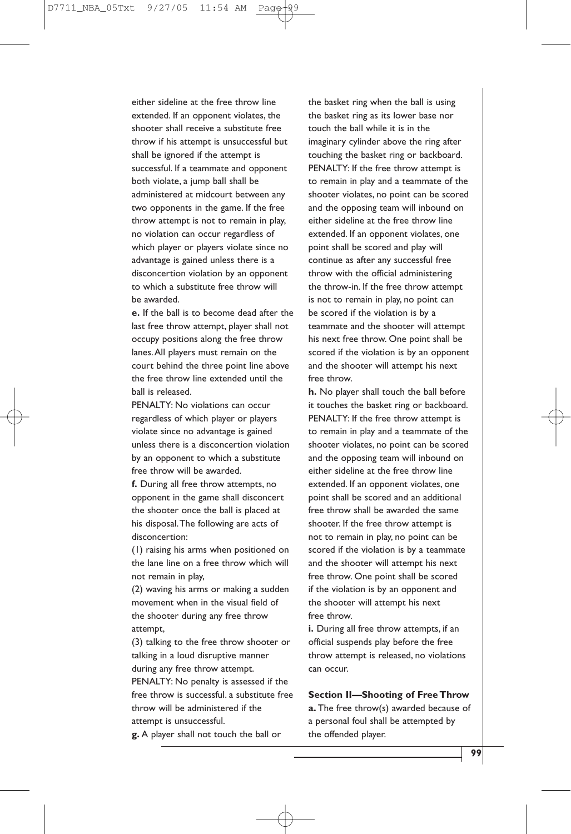either sideline at the free throw line extended. If an opponent violates, the shooter shall receive a substitute free throw if his attempt is unsuccessful but shall be ignored if the attempt is successful. If a teammate and opponent both violate, a jump ball shall be administered at midcourt between any two opponents in the game. If the free throw attempt is not to remain in play, no violation can occur regardless of which player or players violate since no advantage is gained unless there is a disconcertion violation by an opponent to which a substitute free throw will be awarded.

**e.** If the ball is to become dead after the last free throw attempt, player shall not occupy positions along the free throw lanes.All players must remain on the court behind the three point line above the free throw line extended until the ball is released.

PENALTY: No violations can occur regardless of which player or players violate since no advantage is gained unless there is a disconcertion violation by an opponent to which a substitute free throw will be awarded.

**f.** During all free throw attempts, no opponent in the game shall disconcert the shooter once the ball is placed at his disposal.The following are acts of disconcertion:

(1) raising his arms when positioned on the lane line on a free throw which will not remain in play,

(2) waving his arms or making a sudden movement when in the visual field of the shooter during any free throw attempt,

(3) talking to the free throw shooter or talking in a loud disruptive manner during any free throw attempt.

PENALTY: No penalty is assessed if the free throw is successful. a substitute free throw will be administered if the attempt is unsuccessful.

**g.** A player shall not touch the ball or

the basket ring when the ball is using the basket ring as its lower base nor touch the ball while it is in the imaginary cylinder above the ring after touching the basket ring or backboard. PENALTY: If the free throw attempt is to remain in play and a teammate of the shooter violates, no point can be scored and the opposing team will inbound on either sideline at the free throw line extended. If an opponent violates, one point shall be scored and play will continue as after any successful free throw with the official administering the throw-in. If the free throw attempt is not to remain in play, no point can be scored if the violation is by a teammate and the shooter will attempt his next free throw. One point shall be scored if the violation is by an opponent and the shooter will attempt his next free throw.

**h.** No player shall touch the ball before it touches the basket ring or backboard. PENALTY: If the free throw attempt is to remain in play and a teammate of the shooter violates, no point can be scored and the opposing team will inbound on either sideline at the free throw line extended. If an opponent violates, one point shall be scored and an additional free throw shall be awarded the same shooter. If the free throw attempt is not to remain in play, no point can be scored if the violation is by a teammate and the shooter will attempt his next free throw. One point shall be scored if the violation is by an opponent and the shooter will attempt his next free throw.

**i.** During all free throw attempts, if an official suspends play before the free throw attempt is released, no violations can occur.

#### **Section II—Shooting of Free Throw**

**a.** The free throw(s) awarded because of a personal foul shall be attempted by the offended player.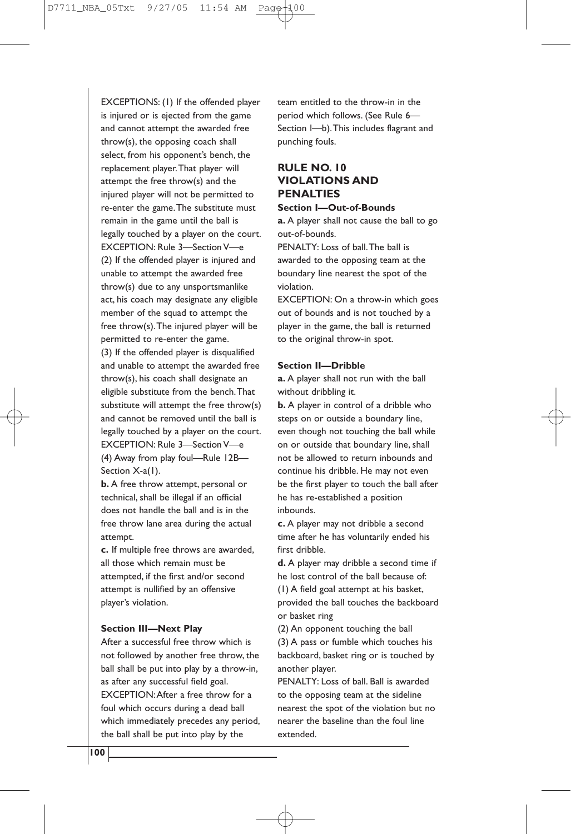EXCEPTIONS: (1) If the offended player is injured or is ejected from the game and cannot attempt the awarded free throw(s), the opposing coach shall select, from his opponent's bench, the replacement player.That player will attempt the free throw(s) and the injured player will not be permitted to re-enter the game.The substitute must remain in the game until the ball is legally touched by a player on the court. EXCEPTION: Rule 3—Section V—e (2) If the offended player is injured and unable to attempt the awarded free throw(s) due to any unsportsmanlike act, his coach may designate any eligible member of the squad to attempt the free throw(s).The injured player will be permitted to re-enter the game. (3) If the offended player is disqualified and unable to attempt the awarded free throw(s), his coach shall designate an eligible substitute from the bench.That substitute will attempt the free throw(s) and cannot be removed until the ball is legally touched by a player on the court. EXCEPTION: Rule 3—Section V—e (4) Away from play foul—Rule 12B— Section X-a(1). **b.** A free throw attempt, personal or

technical, shall be illegal if an official does not handle the ball and is in the free throw lane area during the actual attempt.

**c.** If multiple free throws are awarded, all those which remain must be attempted, if the first and/or second attempt is nullified by an offensive player's violation.

### **Section III—Next Play**

After a successful free throw which is not followed by another free throw, the ball shall be put into play by a throw-in, as after any successful field goal. EXCEPTION:After a free throw for a foul which occurs during a dead ball which immediately precedes any period, the ball shall be put into play by the

team entitled to the throw-in in the period which follows. (See Rule 6— Section I—b).This includes flagrant and punching fouls.

# **RULE NO. 10 VIOLATIONS AND PENALTIES**

### **Section I—Out-of-Bounds**

**a.** A player shall not cause the ball to go out-of-bounds.

PENALTY: Loss of ball. The ball is awarded to the opposing team at the boundary line nearest the spot of the violation.

EXCEPTION: On a throw-in which goes out of bounds and is not touched by a player in the game, the ball is returned to the original throw-in spot.

### **Section II—Dribble**

**a.** A player shall not run with the ball without dribbling it.

**b.** A player in control of a dribble who steps on or outside a boundary line, even though not touching the ball while on or outside that boundary line, shall not be allowed to return inbounds and continue his dribble. He may not even be the first player to touch the ball after he has re-established a position inbounds.

**c.** A player may not dribble a second time after he has voluntarily ended his first dribble.

**d.** A player may dribble a second time if he lost control of the ball because of: (1) A field goal attempt at his basket, provided the ball touches the backboard or basket ring

(2) An opponent touching the ball (3) A pass or fumble which touches his backboard, basket ring or is touched by another player.

PENALTY: Loss of ball. Ball is awarded to the opposing team at the sideline nearest the spot of the violation but no nearer the baseline than the foul line extended.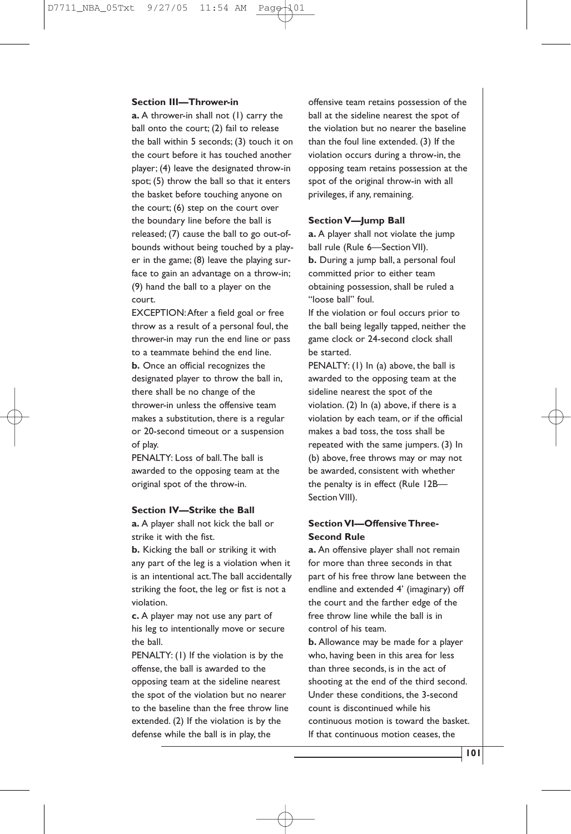#### **Section III—Thrower-in**

**a.** A thrower-in shall not (1) carry the ball onto the court; (2) fail to release the ball within 5 seconds; (3) touch it on the court before it has touched another player; (4) leave the designated throw-in spot; (5) throw the ball so that it enters the basket before touching anyone on the court; (6) step on the court over the boundary line before the ball is released; (7) cause the ball to go out-ofbounds without being touched by a player in the game; (8) leave the playing surface to gain an advantage on a throw-in; (9) hand the ball to a player on the court.

EXCEPTION:After a field goal or free throw as a result of a personal foul, the thrower-in may run the end line or pass to a teammate behind the end line. **b.** Once an official recognizes the designated player to throw the ball in, there shall be no change of the thrower-in unless the offensive team makes a substitution, there is a regular or 20-second timeout or a suspension of play.

PENALTY: Loss of ball.The ball is awarded to the opposing team at the original spot of the throw-in.

#### **Section IV—Strike the Ball**

**a.** A player shall not kick the ball or strike it with the fist.

**b.** Kicking the ball or striking it with any part of the leg is a violation when it is an intentional act.The ball accidentally striking the foot, the leg or fist is not a violation.

**c.** A player may not use any part of his leg to intentionally move or secure the ball.

PENALTY: (1) If the violation is by the offense, the ball is awarded to the opposing team at the sideline nearest the spot of the violation but no nearer to the baseline than the free throw line extended. (2) If the violation is by the defense while the ball is in play, the

offensive team retains possession of the ball at the sideline nearest the spot of the violation but no nearer the baseline than the foul line extended. (3) If the violation occurs during a throw-in, the opposing team retains possession at the spot of the original throw-in with all privileges, if any, remaining.

#### **Section V—Jump Ball**

**a.** A player shall not violate the jump ball rule (Rule 6—Section VII). **b.** During a jump ball, a personal foul committed prior to either team obtaining possession, shall be ruled a "loose ball" foul.

If the violation or foul occurs prior to the ball being legally tapped, neither the game clock or 24-second clock shall be started.

PENALTY: (1) In (a) above, the ball is awarded to the opposing team at the sideline nearest the spot of the violation. (2) In (a) above, if there is a violation by each team, or if the official makes a bad toss, the toss shall be repeated with the same jumpers. (3) In (b) above, free throws may or may not be awarded, consistent with whether the penalty is in effect (Rule 12B— Section VIII).

### **Section VI—Offensive Three-Second Rule**

**a.** An offensive player shall not remain for more than three seconds in that part of his free throw lane between the endline and extended 4' (imaginary) off the court and the farther edge of the free throw line while the ball is in control of his team.

**b.** Allowance may be made for a player who, having been in this area for less than three seconds, is in the act of shooting at the end of the third second. Under these conditions, the 3-second count is discontinued while his continuous motion is toward the basket. If that continuous motion ceases, the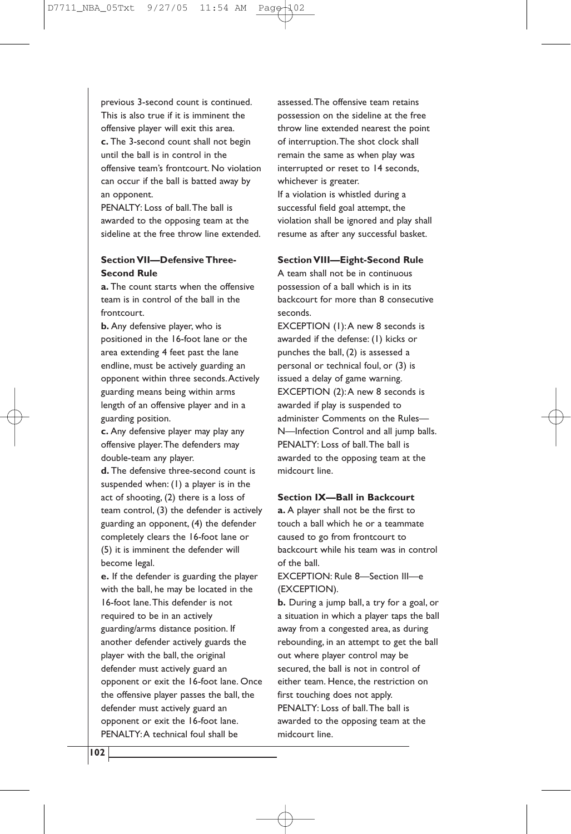previous 3-second count is continued. This is also true if it is imminent the offensive player will exit this area.

**c.** The 3-second count shall not begin until the ball is in control in the offensive team's frontcourt. No violation can occur if the ball is batted away by an opponent.

PENALTY: Loss of ball.The ball is awarded to the opposing team at the sideline at the free throw line extended.

### **Section VII—Defensive Three-Second Rule**

**a.** The count starts when the offensive team is in control of the ball in the frontcourt.

**b.** Any defensive player, who is positioned in the 16-foot lane or the area extending 4 feet past the lane endline, must be actively guarding an opponent within three seconds.Actively guarding means being within arms length of an offensive player and in a guarding position.

**c.** Any defensive player may play any offensive player.The defenders may double-team any player.

**d.** The defensive three-second count is suspended when: (1) a player is in the act of shooting, (2) there is a loss of team control, (3) the defender is actively guarding an opponent, (4) the defender completely clears the 16-foot lane or (5) it is imminent the defender will become legal.

**e.** If the defender is guarding the player with the ball, he may be located in the 16-foot lane.This defender is not required to be in an actively guarding/arms distance position. If another defender actively guards the player with the ball, the original defender must actively guard an opponent or exit the 16-foot lane. Once the offensive player passes the ball, the defender must actively guard an opponent or exit the 16-foot lane. PENALTY:A technical foul shall be

assessed.The offensive team retains possession on the sideline at the free throw line extended nearest the point of interruption.The shot clock shall remain the same as when play was interrupted or reset to 14 seconds, whichever is greater. If a violation is whistled during a successful field goal attempt, the violation shall be ignored and play shall resume as after any successful basket.

#### **Section VIII—Eight-Second Rule**

A team shall not be in continuous possession of a ball which is in its backcourt for more than 8 consecutive seconds.

EXCEPTION (1):A new 8 seconds is awarded if the defense: (1) kicks or punches the ball, (2) is assessed a personal or technical foul, or (3) is issued a delay of game warning. EXCEPTION (2):A new 8 seconds is awarded if play is suspended to administer Comments on the Rules— N—Infection Control and all jump balls. PENALTY: Loss of ball.The ball is awarded to the opposing team at the midcourt line.

#### **Section IX—Ball in Backcourt**

**a.** A player shall not be the first to touch a ball which he or a teammate caused to go from frontcourt to backcourt while his team was in control of the ball.

EXCEPTION: Rule 8—Section III—e (EXCEPTION).

**b.** During a jump ball, a try for a goal, or a situation in which a player taps the ball away from a congested area, as during rebounding, in an attempt to get the ball out where player control may be secured, the ball is not in control of either team. Hence, the restriction on first touching does not apply. PENALTY: Loss of ball.The ball is awarded to the opposing team at the midcourt line.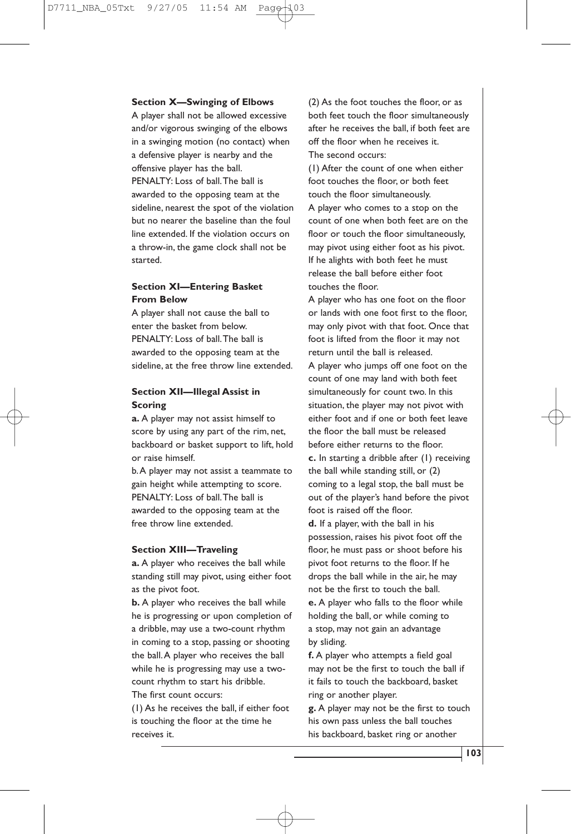#### **Section X—Swinging of Elbows**

A player shall not be allowed excessive and/or vigorous swinging of the elbows in a swinging motion (no contact) when a defensive player is nearby and the offensive player has the ball. PENALTY: Loss of ball.The ball is awarded to the opposing team at the sideline, nearest the spot of the violation but no nearer the baseline than the foul line extended. If the violation occurs on a throw-in, the game clock shall not be started.

### **Section XI—Entering Basket From Below**

A player shall not cause the ball to enter the basket from below. PENALTY: Loss of ball.The ball is awarded to the opposing team at the sideline, at the free throw line extended.

### **Section XII—Illegal Assist in Scoring**

**a.** A player may not assist himself to score by using any part of the rim, net, backboard or basket support to lift, hold or raise himself.

b.A player may not assist a teammate to gain height while attempting to score. PENALTY: Loss of ball.The ball is awarded to the opposing team at the free throw line extended.

#### **Section XIII—Traveling**

**a.** A player who receives the ball while standing still may pivot, using either foot as the pivot foot.

**b.** A player who receives the ball while he is progressing or upon completion of a dribble, may use a two-count rhythm in coming to a stop, passing or shooting the ball.A player who receives the ball while he is progressing may use a twocount rhythm to start his dribble. The first count occurs:

(1) As he receives the ball, if either foot is touching the floor at the time he receives it.

(2) As the foot touches the floor, or as both feet touch the floor simultaneously after he receives the ball, if both feet are off the floor when he receives it. The second occurs:

(1) After the count of one when either foot touches the floor, or both feet touch the floor simultaneously.

A player who comes to a stop on the count of one when both feet are on the floor or touch the floor simultaneously, may pivot using either foot as his pivot. If he alights with both feet he must release the ball before either foot touches the floor.

A player who has one foot on the floor or lands with one foot first to the floor, may only pivot with that foot. Once that foot is lifted from the floor it may not return until the ball is released. A player who jumps off one foot on the count of one may land with both feet simultaneously for count two. In this situation, the player may not pivot with either foot and if one or both feet leave the floor the ball must be released before either returns to the floor.

**c.** In starting a dribble after (1) receiving the ball while standing still, or (2) coming to a legal stop, the ball must be out of the player's hand before the pivot foot is raised off the floor.

**d.** If a player, with the ball in his possession, raises his pivot foot off the floor, he must pass or shoot before his pivot foot returns to the floor. If he drops the ball while in the air, he may not be the first to touch the ball. **e.** A player who falls to the floor while holding the ball, or while coming to a stop, may not gain an advantage by sliding.

**f.** A player who attempts a field goal may not be the first to touch the ball if it fails to touch the backboard, basket ring or another player.

**g.** A player may not be the first to touch his own pass unless the ball touches his backboard, basket ring or another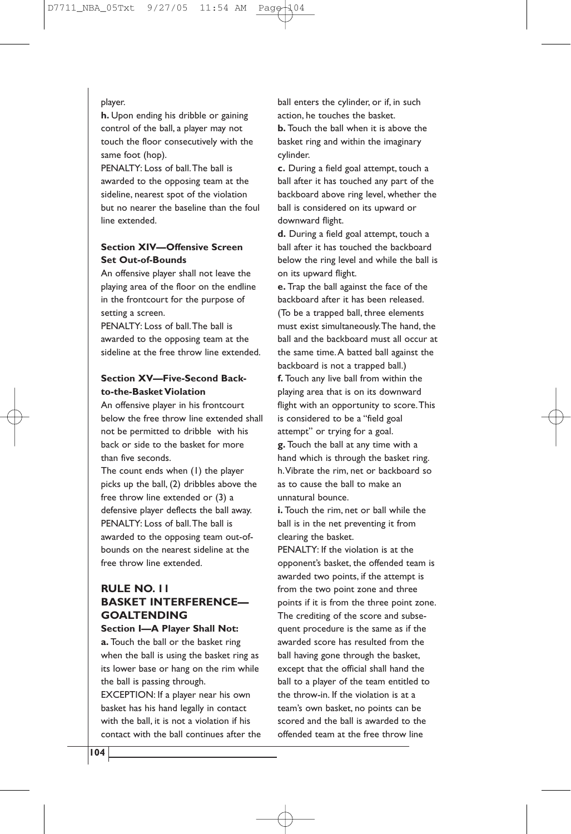#### player.

**h.** Upon ending his dribble or gaining control of the ball, a player may not touch the floor consecutively with the same foot (hop).

PENALTY: Loss of ball.The ball is awarded to the opposing team at the sideline, nearest spot of the violation but no nearer the baseline than the foul line extended.

### **Section XIV—Offensive Screen Set Out-of-Bounds**

An offensive player shall not leave the playing area of the floor on the endline in the frontcourt for the purpose of setting a screen.

PENALTY: Loss of ball.The ball is awarded to the opposing team at the sideline at the free throw line extended.

### **Section XV—Five-Second Backto-the-Basket Violation**

An offensive player in his frontcourt below the free throw line extended shall not be permitted to dribble with his back or side to the basket for more than five seconds.

The count ends when (1) the player picks up the ball, (2) dribbles above the free throw line extended or (3) a defensive player deflects the ball away. PENALTY: Loss of ball.The ball is awarded to the opposing team out-ofbounds on the nearest sideline at the free throw line extended.

# **RULE NO. 11 BASKET INTERFERENCE— GOALTENDING**

**Section I—A Player Shall Not:**

**a.** Touch the ball or the basket ring when the ball is using the basket ring as its lower base or hang on the rim while the ball is passing through.

EXCEPTION: If a player near his own basket has his hand legally in contact with the ball, it is not a violation if his contact with the ball continues after the ball enters the cylinder, or if, in such action, he touches the basket. **b.** Touch the ball when it is above the basket ring and within the imaginary cylinder.

**c.** During a field goal attempt, touch a ball after it has touched any part of the backboard above ring level, whether the ball is considered on its upward or downward flight.

**d.** During a field goal attempt, touch a ball after it has touched the backboard below the ring level and while the ball is on its upward flight.

**e.** Trap the ball against the face of the backboard after it has been released. (To be a trapped ball, three elements must exist simultaneously.The hand, the ball and the backboard must all occur at the same time.A batted ball against the backboard is not a trapped ball.) **f.** Touch any live ball from within the playing area that is on its downward flight with an opportunity to score.This is considered to be a "field goal attempt" or trying for a goal.

**g.** Touch the ball at any time with a hand which is through the basket ring. h.Vibrate the rim, net or backboard so as to cause the ball to make an unnatural bounce.

**i.** Touch the rim, net or ball while the ball is in the net preventing it from clearing the basket.

PENALTY: If the violation is at the opponent's basket, the offended team is awarded two points, if the attempt is from the two point zone and three points if it is from the three point zone. The crediting of the score and subsequent procedure is the same as if the awarded score has resulted from the ball having gone through the basket, except that the official shall hand the ball to a player of the team entitled to the throw-in. If the violation is at a team's own basket, no points can be scored and the ball is awarded to the offended team at the free throw line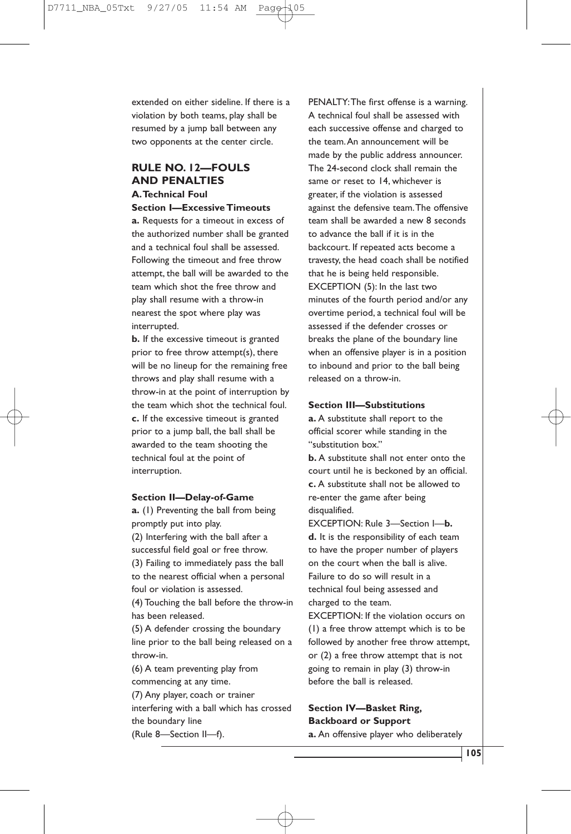extended on either sideline. If there is a violation by both teams, play shall be resumed by a jump ball between any two opponents at the center circle.

# **RULE NO. 12—FOULS AND PENALTIES A.Technical Foul**

#### **Section I—Excessive Timeouts**

**a.** Requests for a timeout in excess of the authorized number shall be granted and a technical foul shall be assessed. Following the timeout and free throw attempt, the ball will be awarded to the team which shot the free throw and play shall resume with a throw-in nearest the spot where play was interrupted.

**b.** If the excessive timeout is granted prior to free throw attempt(s), there will be no lineup for the remaining free throws and play shall resume with a throw-in at the point of interruption by the team which shot the technical foul. **c.** If the excessive timeout is granted prior to a jump ball, the ball shall be awarded to the team shooting the technical foul at the point of interruption.

#### **Section II—Delay-of-Game**

**a.** (1) Preventing the ball from being promptly put into play. (2) Interfering with the ball after a successful field goal or free throw. (3) Failing to immediately pass the ball to the nearest official when a personal foul or violation is assessed. (4) Touching the ball before the throw-in has been released. (5) A defender crossing the boundary line prior to the ball being released on a throw-in. (6) A team preventing play from commencing at any time. (7) Any player, coach or trainer

interfering with a ball which has crossed the boundary line

(Rule 8—Section II—f).

PENALTY:The first offense is a warning. A technical foul shall be assessed with each successive offense and charged to the team.An announcement will be made by the public address announcer. The 24-second clock shall remain the same or reset to 14, whichever is greater, if the violation is assessed against the defensive team.The offensive team shall be awarded a new 8 seconds to advance the ball if it is in the backcourt. If repeated acts become a travesty, the head coach shall be notified that he is being held responsible. EXCEPTION (5): In the last two minutes of the fourth period and/or any overtime period, a technical foul will be assessed if the defender crosses or breaks the plane of the boundary line when an offensive player is in a position to inbound and prior to the ball being released on a throw-in.

#### **Section III—Substitutions**

**a.** A substitute shall report to the official scorer while standing in the "substitution box."

**b.** A substitute shall not enter onto the court until he is beckoned by an official. **c.** A substitute shall not be allowed to re-enter the game after being disqualified.

EXCEPTION: Rule 3—Section I—**b. d.** It is the responsibility of each team to have the proper number of players on the court when the ball is alive. Failure to do so will result in a technical foul being assessed and charged to the team.

EXCEPTION: If the violation occurs on (1) a free throw attempt which is to be followed by another free throw attempt, or (2) a free throw attempt that is not going to remain in play (3) throw-in before the ball is released.

# **Section IV—Basket Ring, Backboard or Support**

**a.** An offensive player who deliberately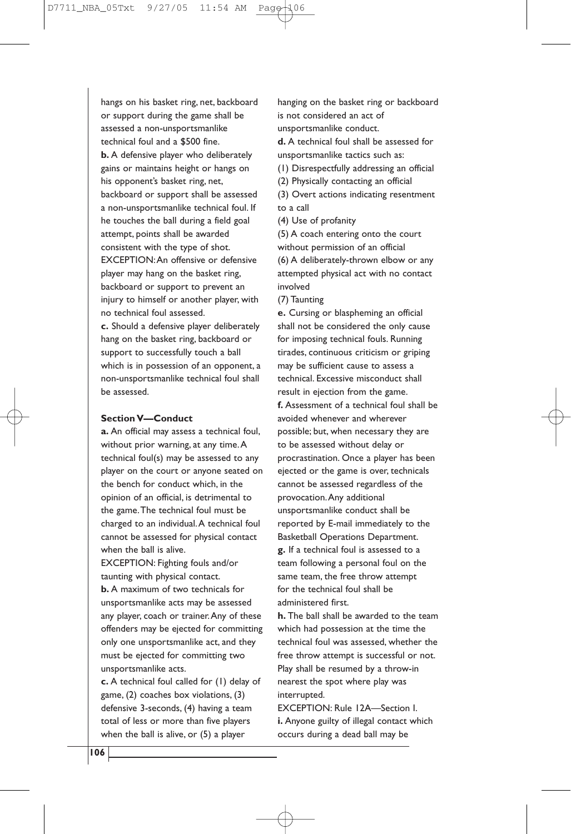hangs on his basket ring, net, backboard or support during the game shall be assessed a non-unsportsmanlike technical foul and a \$500 fine. **b.** A defensive player who deliberately gains or maintains height or hangs on his opponent's basket ring, net, backboard or support shall be assessed a non-unsportsmanlike technical foul. If he touches the ball during a field goal attempt, points shall be awarded consistent with the type of shot. EXCEPTION:An offensive or defensive player may hang on the basket ring, backboard or support to prevent an injury to himself or another player, with no technical foul assessed. **c.** Should a defensive player deliberately

hang on the basket ring, backboard or support to successfully touch a ball which is in possession of an opponent, a non-unsportsmanlike technical foul shall be assessed.

#### **Section V—Conduct**

**a.** An official may assess a technical foul, without prior warning, at any time. A technical foul(s) may be assessed to any player on the court or anyone seated on the bench for conduct which, in the opinion of an official, is detrimental to the game.The technical foul must be charged to an individual.A technical foul cannot be assessed for physical contact when the ball is alive.

EXCEPTION: Fighting fouls and/or taunting with physical contact.

**b.** A maximum of two technicals for unsportsmanlike acts may be assessed any player, coach or trainer.Any of these offenders may be ejected for committing only one unsportsmanlike act, and they must be ejected for committing two unsportsmanlike acts.

**c.** A technical foul called for (1) delay of game, (2) coaches box violations, (3) defensive 3-seconds, (4) having a team total of less or more than five players when the ball is alive, or (5) a player

hanging on the basket ring or backboard is not considered an act of unsportsmanlike conduct.

**d.** A technical foul shall be assessed for unsportsmanlike tactics such as:

(1) Disrespectfully addressing an official (2) Physically contacting an official

(3) Overt actions indicating resentment to a call

(4) Use of profanity

(5) A coach entering onto the court without permission of an official

(6) A deliberately-thrown elbow or any attempted physical act with no contact involved

(7) Taunting

**e.** Cursing or blaspheming an official shall not be considered the only cause for imposing technical fouls. Running tirades, continuous criticism or griping may be sufficient cause to assess a technical. Excessive misconduct shall result in ejection from the game. **f.** Assessment of a technical foul shall be avoided whenever and wherever possible; but, when necessary they are to be assessed without delay or procrastination. Once a player has been ejected or the game is over, technicals cannot be assessed regardless of the provocation.Any additional unsportsmanlike conduct shall be reported by E-mail immediately to the Basketball Operations Department. **g.** If a technical foul is assessed to a team following a personal foul on the same team, the free throw attempt for the technical foul shall be administered first.

**h.** The ball shall be awarded to the team which had possession at the time the technical foul was assessed, whether the free throw attempt is successful or not. Play shall be resumed by a throw-in nearest the spot where play was interrupted.

EXCEPTION: Rule 12A—Section I. **i.** Anyone guilty of illegal contact which occurs during a dead ball may be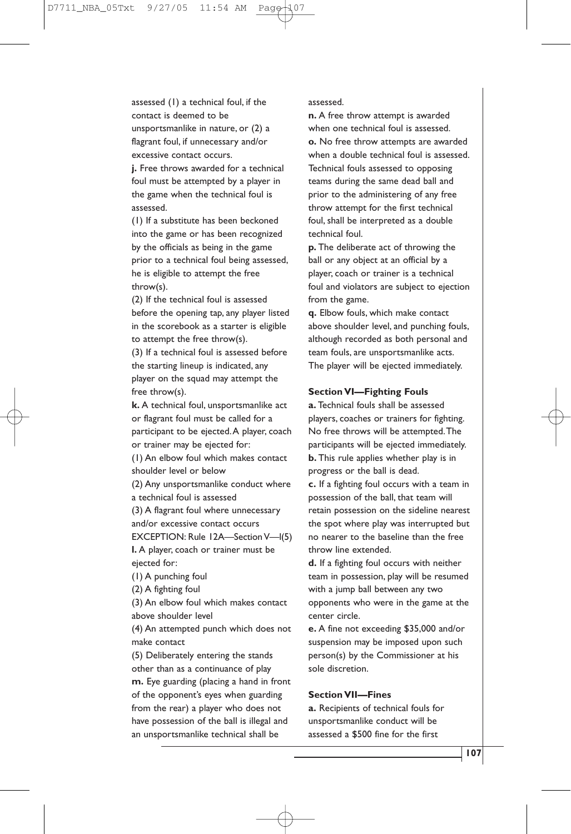assessed (1) a technical foul, if the contact is deemed to be unsportsmanlike in nature, or (2) a flagrant foul, if unnecessary and/or excessive contact occurs.

**j.** Free throws awarded for a technical foul must be attempted by a player in the game when the technical foul is assessed.

(1) If a substitute has been beckoned into the game or has been recognized by the officials as being in the game prior to a technical foul being assessed, he is eligible to attempt the free throw(s).

(2) If the technical foul is assessed before the opening tap, any player listed in the scorebook as a starter is eligible to attempt the free throw(s).

(3) If a technical foul is assessed before the starting lineup is indicated, any player on the squad may attempt the free throw(s).

**k.** A technical foul, unsportsmanlike act or flagrant foul must be called for a participant to be ejected.A player, coach or trainer may be ejected for:

(1) An elbow foul which makes contact shoulder level or below

(2) Any unsportsmanlike conduct where a technical foul is assessed

(3) A flagrant foul where unnecessary and/or excessive contact occurs

EXCEPTION: Rule 12A—Section V—l(5) **l.** A player, coach or trainer must be

ejected for:

(1) A punching foul

(2) A fighting foul

(3) An elbow foul which makes contact above shoulder level

(4) An attempted punch which does not make contact

(5) Deliberately entering the stands other than as a continuance of play **m.** Eye guarding (placing a hand in front of the opponent's eyes when guarding from the rear) a player who does not have possession of the ball is illegal and an unsportsmanlike technical shall be

assessed.

**n.** A free throw attempt is awarded when one technical foul is assessed. **o.** No free throw attempts are awarded when a double technical foul is assessed. Technical fouls assessed to opposing teams during the same dead ball and prior to the administering of any free throw attempt for the first technical foul, shall be interpreted as a double technical foul.

**p.** The deliberate act of throwing the ball or any object at an official by a player, coach or trainer is a technical foul and violators are subject to ejection from the game.

**q.** Elbow fouls, which make contact above shoulder level, and punching fouls, although recorded as both personal and team fouls, are unsportsmanlike acts. The player will be ejected immediately.

#### **Section VI—Fighting Fouls**

**a.** Technical fouls shall be assessed players, coaches or trainers for fighting. No free throws will be attempted.The participants will be ejected immediately. **b.** This rule applies whether play is in progress or the ball is dead.

**c.** If a fighting foul occurs with a team in possession of the ball, that team will retain possession on the sideline nearest the spot where play was interrupted but no nearer to the baseline than the free throw line extended.

**d.** If a fighting foul occurs with neither team in possession, play will be resumed with a jump ball between any two opponents who were in the game at the center circle.

**e.** A fine not exceeding \$35,000 and/or suspension may be imposed upon such person(s) by the Commissioner at his sole discretion.

### **Section VII—Fines**

**a.** Recipients of technical fouls for unsportsmanlike conduct will be assessed a \$500 fine for the first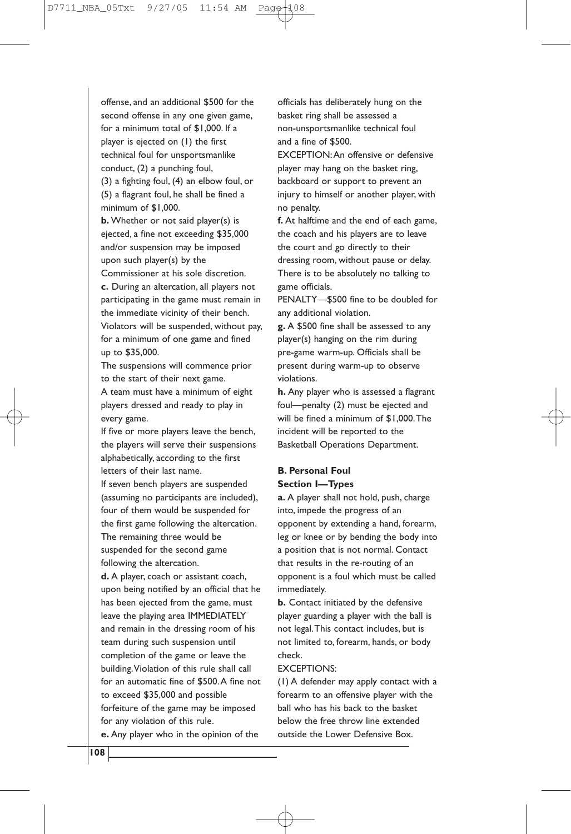offense, and an additional \$500 for the second offense in any one given game, for a minimum total of \$1,000. If a player is ejected on (1) the first technical foul for unsportsmanlike conduct, (2) a punching foul, (3) a fighting foul, (4) an elbow foul, or

(5) a flagrant foul, he shall be fined a minimum of \$1,000.

**b.** Whether or not said player(s) is ejected, a fine not exceeding \$35,000 and/or suspension may be imposed upon such player(s) by the

Commissioner at his sole discretion. **c.** During an altercation, all players not participating in the game must remain in the immediate vicinity of their bench. Violators will be suspended, without pay, for a minimum of one game and fined up to \$35,000.

The suspensions will commence prior to the start of their next game.

A team must have a minimum of eight players dressed and ready to play in every game.

If five or more players leave the bench, the players will serve their suspensions alphabetically, according to the first letters of their last name.

If seven bench players are suspended (assuming no participants are included), four of them would be suspended for the first game following the altercation. The remaining three would be suspended for the second game following the altercation.

**d.** A player, coach or assistant coach, upon being notified by an official that he has been ejected from the game, must leave the playing area IMMEDIATELY and remain in the dressing room of his team during such suspension until completion of the game or leave the building.Violation of this rule shall call for an automatic fine of \$500.A fine not to exceed \$35,000 and possible forfeiture of the game may be imposed for any violation of this rule.

**e.** Any player who in the opinion of the

officials has deliberately hung on the basket ring shall be assessed a non-unsportsmanlike technical foul and a fine of \$500.

EXCEPTION:An offensive or defensive player may hang on the basket ring, backboard or support to prevent an injury to himself or another player, with no penalty.

**f.** At halftime and the end of each game, the coach and his players are to leave the court and go directly to their dressing room, without pause or delay. There is to be absolutely no talking to game officials.

PENALTY—\$500 fine to be doubled for any additional violation.

**g.** A \$500 fine shall be assessed to any player(s) hanging on the rim during pre-game warm-up. Officials shall be present during warm-up to observe violations.

**h.** Any player who is assessed a flagrant foul—penalty (2) must be ejected and will be fined a minimum of \$1,000.The incident will be reported to the Basketball Operations Department.

# **B. Personal Foul Section I—Types**

**a.** A player shall not hold, push, charge into, impede the progress of an opponent by extending a hand, forearm, leg or knee or by bending the body into a position that is not normal. Contact that results in the re-routing of an opponent is a foul which must be called immediately.

**b.** Contact initiated by the defensive player guarding a player with the ball is not legal.This contact includes, but is not limited to, forearm, hands, or body check.

### EXCEPTIONS:

(1) A defender may apply contact with a forearm to an offensive player with the ball who has his back to the basket below the free throw line extended outside the Lower Defensive Box.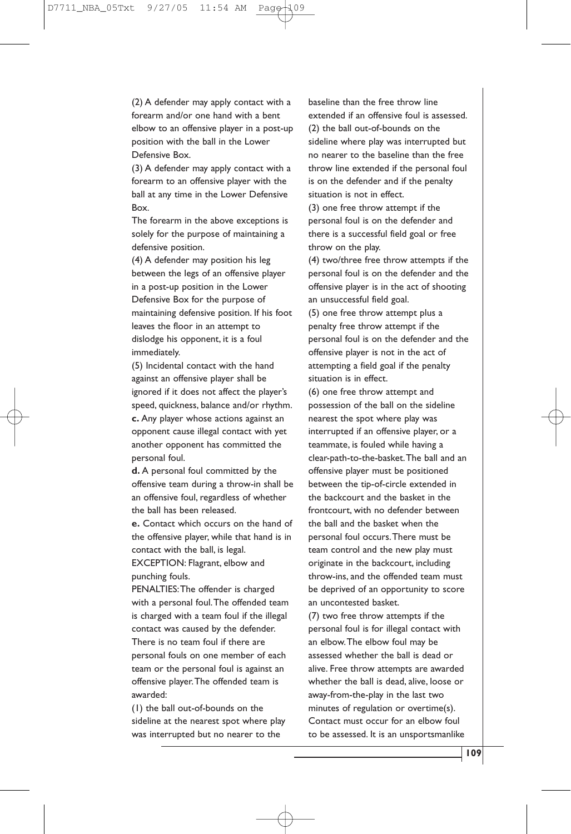(2) A defender may apply contact with a forearm and/or one hand with a bent elbow to an offensive player in a post-up position with the ball in the Lower Defensive Box.

(3) A defender may apply contact with a forearm to an offensive player with the ball at any time in the Lower Defensive Box.

The forearm in the above exceptions is solely for the purpose of maintaining a defensive position.

(4) A defender may position his leg between the legs of an offensive player in a post-up position in the Lower Defensive Box for the purpose of maintaining defensive position. If his foot leaves the floor in an attempt to dislodge his opponent, it is a foul immediately.

(5) Incidental contact with the hand against an offensive player shall be ignored if it does not affect the player's speed, quickness, balance and/or rhythm. **c.** Any player whose actions against an opponent cause illegal contact with yet another opponent has committed the personal foul.

**d.** A personal foul committed by the offensive team during a throw-in shall be an offensive foul, regardless of whether the ball has been released.

**e.** Contact which occurs on the hand of the offensive player, while that hand is in contact with the ball, is legal. EXCEPTION: Flagrant, elbow and

punching fouls.

PENALTIES:The offender is charged with a personal foul.The offended team is charged with a team foul if the illegal contact was caused by the defender. There is no team foul if there are personal fouls on one member of each team or the personal foul is against an offensive player.The offended team is awarded:

(1) the ball out-of-bounds on the sideline at the nearest spot where play was interrupted but no nearer to the

baseline than the free throw line extended if an offensive foul is assessed. (2) the ball out-of-bounds on the sideline where play was interrupted but no nearer to the baseline than the free throw line extended if the personal foul is on the defender and if the penalty situation is not in effect.

(3) one free throw attempt if the personal foul is on the defender and there is a successful field goal or free throw on the play.

(4) two/three free throw attempts if the personal foul is on the defender and the offensive player is in the act of shooting an unsuccessful field goal.

(5) one free throw attempt plus a penalty free throw attempt if the personal foul is on the defender and the offensive player is not in the act of attempting a field goal if the penalty situation is in effect.

(6) one free throw attempt and possession of the ball on the sideline nearest the spot where play was interrupted if an offensive player, or a teammate, is fouled while having a clear-path-to-the-basket.The ball and an offensive player must be positioned between the tip-of-circle extended in the backcourt and the basket in the frontcourt, with no defender between the ball and the basket when the personal foul occurs.There must be team control and the new play must originate in the backcourt, including throw-ins, and the offended team must be deprived of an opportunity to score an uncontested basket.

(7) two free throw attempts if the personal foul is for illegal contact with an elbow.The elbow foul may be assessed whether the ball is dead or alive. Free throw attempts are awarded whether the ball is dead, alive, loose or away-from-the-play in the last two minutes of regulation or overtime(s). Contact must occur for an elbow foul to be assessed. It is an unsportsmanlike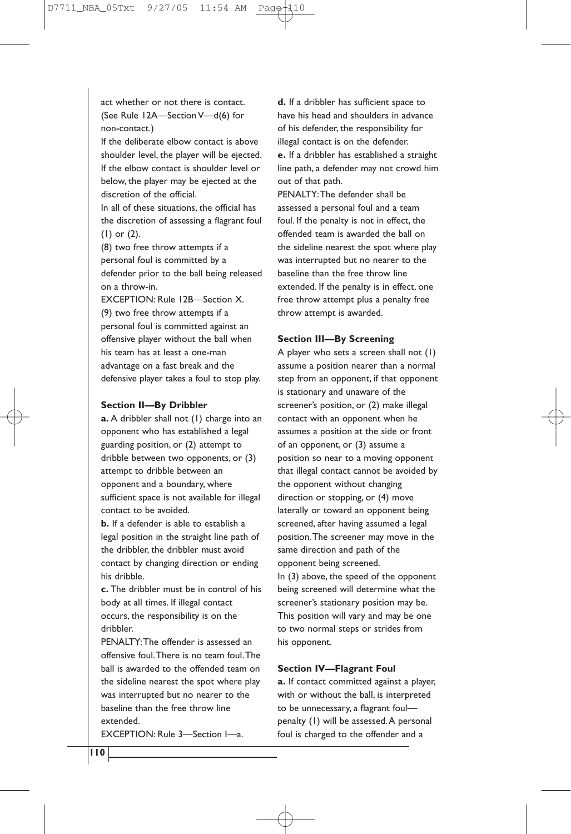act whether or not there is contact. (See Rule 12A—Section V—d(6) for non-contact.)

If the deliberate elbow contact is above shoulder level, the player will be ejected. If the elbow contact is shoulder level or below, the player may be ejected at the discretion of the official.

In all of these situations, the official has the discretion of assessing a flagrant foul (1) or (2).

(8) two free throw attempts if a personal foul is committed by a defender prior to the ball being released on a throw-in.

EXCEPTION: Rule 12B—Section X. (9) two free throw attempts if a personal foul is committed against an offensive player without the ball when his team has at least a one-man advantage on a fast break and the defensive player takes a foul to stop play.

#### **Section II—By Dribbler**

**a.** A dribbler shall not (1) charge into an opponent who has established a legal guarding position, or (2) attempt to dribble between two opponents, or (3) attempt to dribble between an opponent and a boundary, where sufficient space is not available for illegal contact to be avoided.

**b.** If a defender is able to establish a legal position in the straight line path of the dribbler, the dribbler must avoid contact by changing direction or ending his dribble.

**c.** The dribbler must be in control of his body at all times. If illegal contact occurs, the responsibility is on the dribbler.

PENALTY:The offender is assessed an offensive foul.There is no team foul.The ball is awarded to the offended team on the sideline nearest the spot where play was interrupted but no nearer to the baseline than the free throw line extended.

EXCEPTION: Rule 3—Section I—a.

**d.** If a dribbler has sufficient space to have his head and shoulders in advance of his defender, the responsibility for illegal contact is on the defender. **e.** If a dribbler has established a straight line path, a defender may not crowd him out of that path.

PENALTY:The defender shall be assessed a personal foul and a team foul. If the penalty is not in effect, the offended team is awarded the ball on the sideline nearest the spot where play was interrupted but no nearer to the baseline than the free throw line extended. If the penalty is in effect, one free throw attempt plus a penalty free throw attempt is awarded.

#### **Section III—By Screening**

A player who sets a screen shall not (1) assume a position nearer than a normal step from an opponent, if that opponent is stationary and unaware of the screener's position, or (2) make illegal contact with an opponent when he assumes a position at the side or front of an opponent, or (3) assume a position so near to a moving opponent that illegal contact cannot be avoided by the opponent without changing direction or stopping, or (4) move laterally or toward an opponent being screened, after having assumed a legal position.The screener may move in the same direction and path of the opponent being screened.

In (3) above, the speed of the opponent being screened will determine what the screener's stationary position may be. This position will vary and may be one to two normal steps or strides from his opponent.

#### **Section IV—Flagrant Foul**

**a.** If contact committed against a player, with or without the ball, is interpreted to be unnecessary, a flagrant foul penalty (1) will be assessed.A personal foul is charged to the offender and a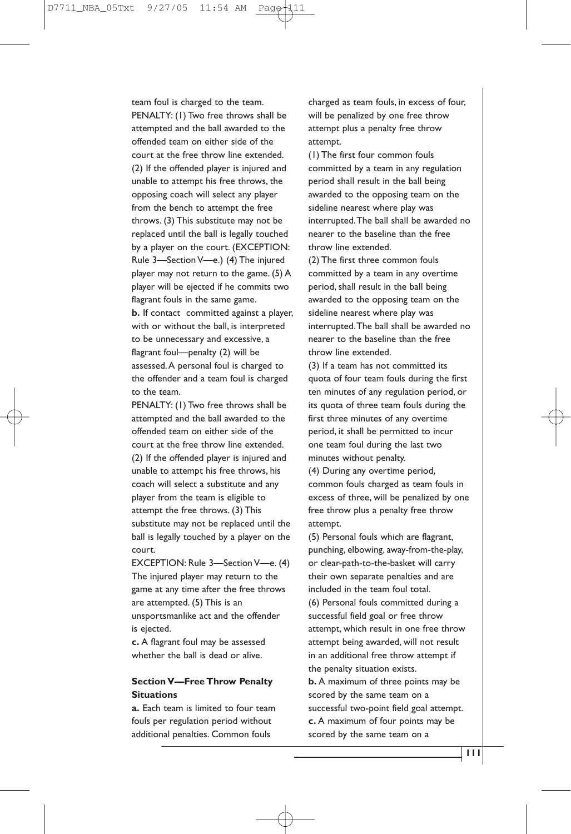team foul is charged to the team. PENALTY: (1) Two free throws shall be attempted and the ball awarded to the offended team on either side of the court at the free throw line extended. (2) If the offended player is injured and unable to attempt his free throws, the opposing coach will select any player from the bench to attempt the free throws. (3) This substitute may not be replaced until the ball is legally touched by a player on the court. (EXCEPTION: Rule 3—Section V—e.) (4) The injured player may not return to the game. (5) A player will be ejected if he commits two flagrant fouls in the same game. **b.** If contact committed against a player, with or without the ball, is interpreted to be unnecessary and excessive, a flagrant foul—penalty (2) will be assessed.A personal foul is charged to the offender and a team foul is charged to the team.

PENALTY: (1) Two free throws shall be attempted and the ball awarded to the offended team on either side of the court at the free throw line extended. (2) If the offended player is injured and unable to attempt his free throws, his coach will select a substitute and any player from the team is eligible to attempt the free throws. (3) This substitute may not be replaced until the ball is legally touched by a player on the court.

EXCEPTION: Rule 3—Section V—e. (4) The injured player may return to the game at any time after the free throws are attempted. (5) This is an unsportsmanlike act and the offender is ejected.

**c.** A flagrant foul may be assessed whether the ball is dead or alive.

### **Section V—Free Throw Penalty Situations**

**a.** Each team is limited to four team fouls per regulation period without additional penalties. Common fouls

charged as team fouls, in excess of four, will be penalized by one free throw attempt plus a penalty free throw attempt.

(1) The first four common fouls committed by a team in any regulation period shall result in the ball being awarded to the opposing team on the sideline nearest where play was interrupted.The ball shall be awarded no nearer to the baseline than the free throw line extended.

(2) The first three common fouls committed by a team in any overtime period, shall result in the ball being awarded to the opposing team on the sideline nearest where play was interrupted.The ball shall be awarded no nearer to the baseline than the free throw line extended.

(3) If a team has not committed its quota of four team fouls during the first ten minutes of any regulation period, or its quota of three team fouls during the first three minutes of any overtime period, it shall be permitted to incur one team foul during the last two minutes without penalty.

(4) During any overtime period, common fouls charged as team fouls in excess of three, will be penalized by one free throw plus a penalty free throw attempt.

(5) Personal fouls which are flagrant, punching, elbowing, away-from-the-play, or clear-path-to-the-basket will carry their own separate penalties and are included in the team foul total.

(6) Personal fouls committed during a successful field goal or free throw attempt, which result in one free throw attempt being awarded, will not result in an additional free throw attempt if the penalty situation exists.

**b.** A maximum of three points may be scored by the same team on a successful two-point field goal attempt. **c.** A maximum of four points may be scored by the same team on a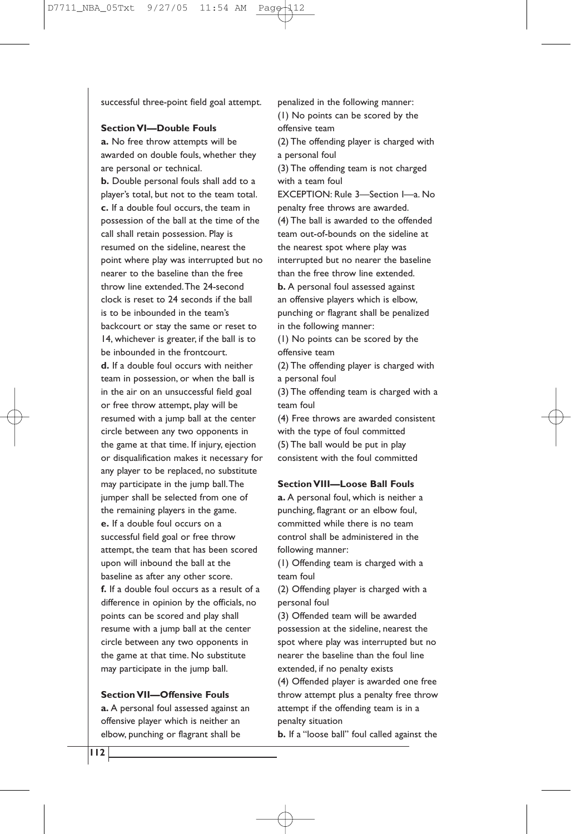successful three-point field goal attempt.

#### **Section VI—Double Fouls**

**a.** No free throw attempts will be awarded on double fouls, whether they are personal or technical.

**b.** Double personal fouls shall add to a player's total, but not to the team total. **c.** If a double foul occurs, the team in possession of the ball at the time of the call shall retain possession. Play is resumed on the sideline, nearest the point where play was interrupted but no nearer to the baseline than the free throw line extended.The 24-second clock is reset to 24 seconds if the ball is to be inbounded in the team's backcourt or stay the same or reset to 14, whichever is greater, if the ball is to be inbounded in the frontcourt. **d.** If a double foul occurs with neither team in possession, or when the ball is in the air on an unsuccessful field goal or free throw attempt, play will be resumed with a jump ball at the center circle between any two opponents in the game at that time. If injury, ejection or disqualification makes it necessary for any player to be replaced, no substitute may participate in the jump ball.The jumper shall be selected from one of the remaining players in the game. **e.** If a double foul occurs on a successful field goal or free throw attempt, the team that has been scored upon will inbound the ball at the baseline as after any other score. **f.** If a double foul occurs as a result of a difference in opinion by the officials, no points can be scored and play shall resume with a jump ball at the center circle between any two opponents in the game at that time. No substitute may participate in the jump ball.

#### **Section VII—Offensive Fouls**

**a.** A personal foul assessed against an offensive player which is neither an elbow, punching or flagrant shall be

penalized in the following manner: (1) No points can be scored by the

offensive team

(2) The offending player is charged with a personal foul

(3) The offending team is not charged with a team foul

EXCEPTION: Rule 3—Section I—a. No penalty free throws are awarded.

(4) The ball is awarded to the offended team out-of-bounds on the sideline at the nearest spot where play was interrupted but no nearer the baseline than the free throw line extended.

**b.** A personal foul assessed against an offensive players which is elbow, punching or flagrant shall be penalized in the following manner:

(1) No points can be scored by the offensive team

(2) The offending player is charged with a personal foul

(3) The offending team is charged with a team foul

(4) Free throws are awarded consistent with the type of foul committed (5) The ball would be put in play consistent with the foul committed

### **Section VIII—Loose Ball Fouls**

**a.** A personal foul, which is neither a punching, flagrant or an elbow foul, committed while there is no team control shall be administered in the following manner:

(1) Offending team is charged with a team foul

(2) Offending player is charged with a personal foul

(3) Offended team will be awarded possession at the sideline, nearest the spot where play was interrupted but no nearer the baseline than the foul line extended, if no penalty exists

(4) Offended player is awarded one free throw attempt plus a penalty free throw attempt if the offending team is in a penalty situation

**b.** If a "loose ball" foul called against the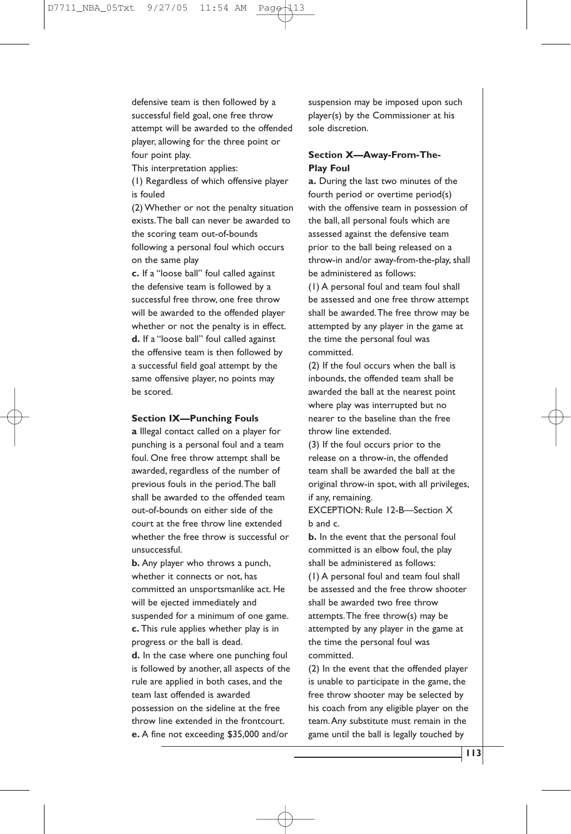defensive team is then followed by a successful field goal, one free throw attempt will be awarded to the offended player, allowing for the three point or four point play.

This interpretation applies:

(1) Regardless of which offensive player is fouled

(2) Whether or not the penalty situation exists.The ball can never be awarded to the scoring team out-of-bounds following a personal foul which occurs on the same play

**c.** If a "loose ball" foul called against the defensive team is followed by a successful free throw, one free throw will be awarded to the offended player whether or not the penalty is in effect. **d.** If a "loose ball" foul called against the offensive team is then followed by a successful field goal attempt by the same offensive player, no points may be scored.

#### **Section IX—Punching Fouls**

**a** Illegal contact called on a player for punching is a personal foul and a team foul. One free throw attempt shall be awarded, regardless of the number of previous fouls in the period.The ball shall be awarded to the offended team out-of-bounds on either side of the court at the free throw line extended whether the free throw is successful or unsuccessful.

**b.** Any player who throws a punch, whether it connects or not, has committed an unsportsmanlike act. He will be ejected immediately and suspended for a minimum of one game. **c.** This rule applies whether play is in progress or the ball is dead.

**d.** In the case where one punching foul is followed by another, all aspects of the rule are applied in both cases, and the team last offended is awarded possession on the sideline at the free throw line extended in the frontcourt. **e.** A fine not exceeding \$35,000 and/or

suspension may be imposed upon such player(s) by the Commissioner at his sole discretion.

### **Section X—Away-From-The-Play Foul**

**a.** During the last two minutes of the fourth period or overtime period(s) with the offensive team in possession of the ball, all personal fouls which are assessed against the defensive team prior to the ball being released on a throw-in and/or away-from-the-play, shall be administered as follows:

(1) A personal foul and team foul shall be assessed and one free throw attempt shall be awarded.The free throw may be attempted by any player in the game at the time the personal foul was committed.

(2) If the foul occurs when the ball is inbounds, the offended team shall be awarded the ball at the nearest point where play was interrupted but no nearer to the baseline than the free throw line extended.

(3) If the foul occurs prior to the release on a throw-in, the offended team shall be awarded the ball at the original throw-in spot, with all privileges, if any, remaining.

EXCEPTION: Rule 12-B—Section X b and c.

**b.** In the event that the personal foul committed is an elbow foul, the play shall be administered as follows:

(1) A personal foul and team foul shall be assessed and the free throw shooter shall be awarded two free throw attempts.The free throw(s) may be attempted by any player in the game at the time the personal foul was committed.

(2) In the event that the offended player is unable to participate in the game, the free throw shooter may be selected by his coach from any eligible player on the team.Any substitute must remain in the game until the ball is legally touched by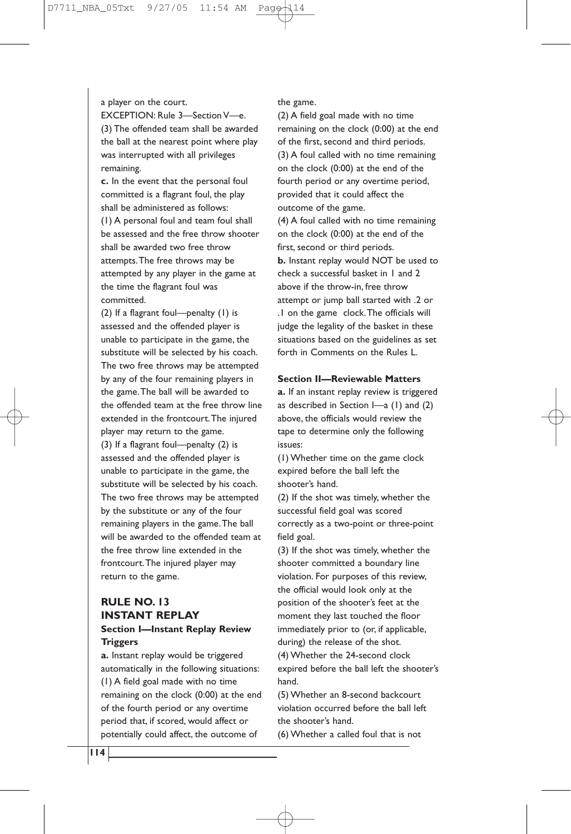#### a player on the court.

EXCEPTION: Rule 3—Section V—e. (3) The offended team shall be awarded the ball at the nearest point where play was interrupted with all privileges remaining.

**c.** In the event that the personal foul committed is a flagrant foul, the play shall be administered as follows: (1) A personal foul and team foul shall be assessed and the free throw shooter shall be awarded two free throw attempts.The free throws may be attempted by any player in the game at the time the flagrant foul was committed.

(2) If a flagrant foul—penalty (1) is assessed and the offended player is unable to participate in the game, the substitute will be selected by his coach. The two free throws may be attempted by any of the four remaining players in the game.The ball will be awarded to the offended team at the free throw line extended in the frontcourt.The injured player may return to the game. (3) If a flagrant foul—penalty (2) is assessed and the offended player is unable to participate in the game, the substitute will be selected by his coach. The two free throws may be attempted by the substitute or any of the four remaining players in the game.The ball will be awarded to the offended team at the free throw line extended in the frontcourt.The injured player may return to the game.

# **RULE NO. 13 INSTANT REPLAY Section I—Instant Replay Review**

**Triggers**

**a.** Instant replay would be triggered automatically in the following situations: (1) A field goal made with no time remaining on the clock (0:00) at the end of the fourth period or any overtime period that, if scored, would affect or potentially could affect, the outcome of

the game.

(2) A field goal made with no time remaining on the clock (0:00) at the end of the first, second and third periods. (3) A foul called with no time remaining on the clock (0:00) at the end of the fourth period or any overtime period, provided that it could affect the outcome of the game.

(4) A foul called with no time remaining on the clock (0:00) at the end of the first, second or third periods.

**b.** Instant replay would NOT be used to check a successful basket in 1 and 2 above if the throw-in, free throw attempt or jump ball started with .2 or .1 on the game clock.The officials will judge the legality of the basket in these situations based on the guidelines as set forth in Comments on the Rules L.

#### **Section II—Reviewable Matters**

**a.** If an instant replay review is triggered as described in Section I—a (1) and (2) above, the officials would review the tape to determine only the following issues:

(1) Whether time on the game clock expired before the ball left the shooter's hand.

(2) If the shot was timely, whether the successful field goal was scored correctly as a two-point or three-point field goal.

(3) If the shot was timely, whether the shooter committed a boundary line violation. For purposes of this review, the official would look only at the position of the shooter's feet at the moment they last touched the floor immediately prior to (or, if applicable, during) the release of the shot.

(4) Whether the 24-second clock expired before the ball left the shooter's hand.

(5) Whether an 8-second backcourt violation occurred before the ball left the shooter's hand.

(6) Whether a called foul that is not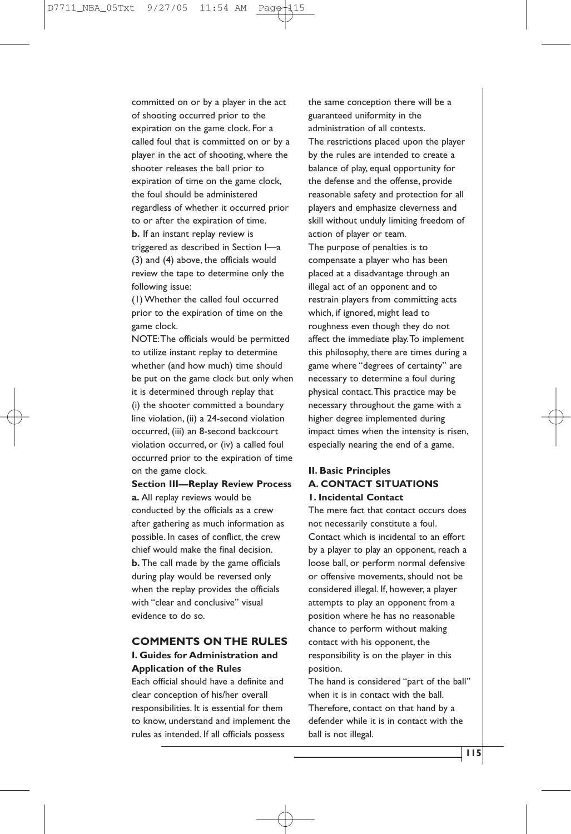committed on or by a player in the act of shooting occurred prior to the expiration on the game clock. For a called foul that is committed on or by a player in the act of shooting, where the shooter releases the ball prior to expiration of time on the game clock, the foul should be administered regardless of whether it occurred prior to or after the expiration of time. **b.** If an instant replay review is triggered as described in Section I—a (3) and (4) above, the officials would review the tape to determine only the following issue:

(1) Whether the called foul occurred prior to the expiration of time on the game clock.

NOTE:The officials would be permitted to utilize instant replay to determine whether (and how much) time should be put on the game clock but only when it is determined through replay that (i) the shooter committed a boundary line violation, (ii) a 24-second violation occurred, (iii) an 8-second backcourt violation occurred, or (iv) a called foul occurred prior to the expiration of time on the game clock.

**Section III—Replay Review Process a.** All replay reviews would be conducted by the officials as a crew after gathering as much information as possible. In cases of conflict, the crew chief would make the final decision. **b.** The call made by the game officials during play would be reversed only when the replay provides the officials with "clear and conclusive" visual evidence to do so.

# **COMMENTS ON THE RULES I. Guides for Administration and**

**Application of the Rules** 

Each official should have a definite and clear conception of his/her overall responsibilities. It is essential for them to know, understand and implement the rules as intended. If all officials possess

the same conception there will be a guaranteed uniformity in the administration of all contests. The restrictions placed upon the player by the rules are intended to create a balance of play, equal opportunity for the defense and the offense, provide reasonable safety and protection for all players and emphasize cleverness and skill without unduly limiting freedom of action of player or team. The purpose of penalties is to compensate a player who has been placed at a disadvantage through an illegal act of an opponent and to restrain players from committing acts which, if ignored, might lead to roughness even though they do not affect the immediate play.To implement this philosophy, there are times during a game where "degrees of certainty" are necessary to determine a foul during physical contact.This practice may be necessary throughout the game with a higher degree implemented during impact times when the intensity is risen, especially nearing the end of a game.

### **II. Basic Principles A. CONTACT SITUATIONS 1. Incidental Contact**

The mere fact that contact occurs does not necessarily constitute a foul. Contact which is incidental to an effort by a player to play an opponent, reach a loose ball, or perform normal defensive or offensive movements, should not be considered illegal. If, however, a player attempts to play an opponent from a position where he has no reasonable chance to perform without making contact with his opponent, the responsibility is on the player in this position.

The hand is considered "part of the ball" when it is in contact with the ball. Therefore, contact on that hand by a defender while it is in contact with the ball is not illegal.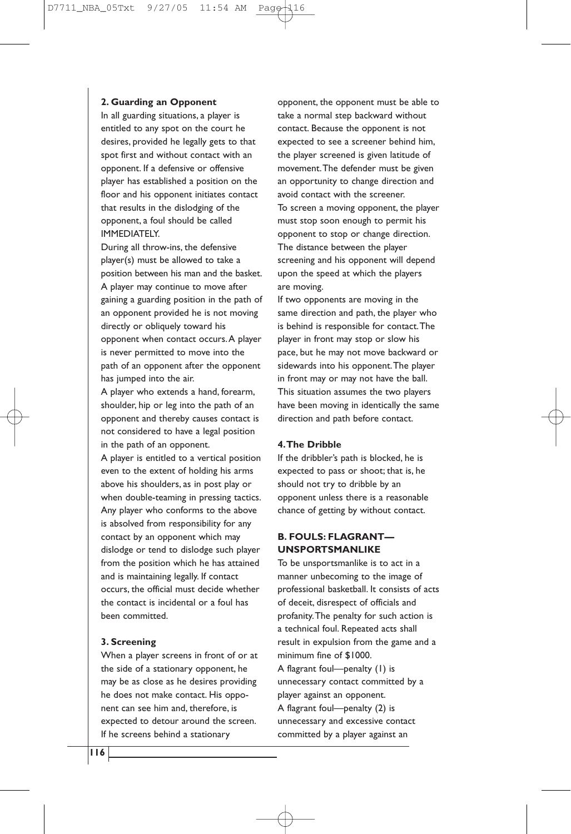#### **2. Guarding an Opponent**

In all guarding situations, a player is entitled to any spot on the court he desires, provided he legally gets to that spot first and without contact with an opponent. If a defensive or offensive player has established a position on the floor and his opponent initiates contact that results in the dislodging of the opponent, a foul should be called IMMEDIATELY.

During all throw-ins, the defensive player(s) must be allowed to take a position between his man and the basket. A player may continue to move after gaining a guarding position in the path of an opponent provided he is not moving directly or obliquely toward his opponent when contact occurs.A player is never permitted to move into the path of an opponent after the opponent has jumped into the air.

A player who extends a hand, forearm, shoulder, hip or leg into the path of an opponent and thereby causes contact is not considered to have a legal position in the path of an opponent.

A player is entitled to a vertical position even to the extent of holding his arms above his shoulders, as in post play or when double-teaming in pressing tactics. Any player who conforms to the above is absolved from responsibility for any contact by an opponent which may dislodge or tend to dislodge such player from the position which he has attained and is maintaining legally. If contact occurs, the official must decide whether the contact is incidental or a foul has been committed.

#### **3. Screening**

When a player screens in front of or at the side of a stationary opponent, he may be as close as he desires providing he does not make contact. His opponent can see him and, therefore, is expected to detour around the screen. If he screens behind a stationary

opponent, the opponent must be able to take a normal step backward without contact. Because the opponent is not expected to see a screener behind him, the player screened is given latitude of movement.The defender must be given an opportunity to change direction and avoid contact with the screener. To screen a moving opponent, the player must stop soon enough to permit his opponent to stop or change direction. The distance between the player screening and his opponent will depend upon the speed at which the players are moving.

If two opponents are moving in the same direction and path, the player who is behind is responsible for contact.The player in front may stop or slow his pace, but he may not move backward or sidewards into his opponent.The player in front may or may not have the ball. This situation assumes the two players have been moving in identically the same direction and path before contact.

#### **4.The Dribble**

If the dribbler's path is blocked, he is expected to pass or shoot; that is, he should not try to dribble by an opponent unless there is a reasonable chance of getting by without contact.

### **B. FOULS: FLAGRANT— UNSPORTSMANLIKE**

To be unsportsmanlike is to act in a manner unbecoming to the image of professional basketball. It consists of acts of deceit, disrespect of officials and profanity.The penalty for such action is a technical foul. Repeated acts shall result in expulsion from the game and a minimum fine of \$1000. A flagrant foul—penalty (1) is unnecessary contact committed by a player against an opponent. A flagrant foul—penalty (2) is unnecessary and excessive contact committed by a player against an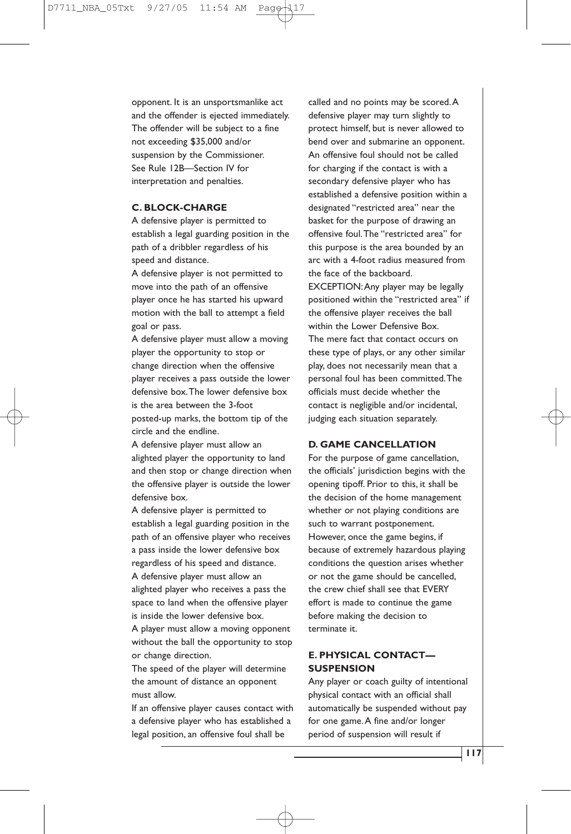opponent. It is an unsportsmanlike act and the offender is ejected immediately. The offender will be subject to a fine not exceeding \$35,000 and/or suspension by the Commissioner. See Rule 12B—Section IV for interpretation and penalties.

#### **C. BLOCK-CHARGE**

A defensive player is permitted to establish a legal guarding position in the path of a dribbler regardless of his speed and distance.

A defensive player is not permitted to move into the path of an offensive player once he has started his upward motion with the ball to attempt a field goal or pass.

A defensive player must allow a moving player the opportunity to stop or change direction when the offensive player receives a pass outside the lower defensive box.The lower defensive box is the area between the 3-foot posted-up marks, the bottom tip of the circle and the endline.

A defensive player must allow an alighted player the opportunity to land and then stop or change direction when the offensive player is outside the lower defensive box.

A defensive player is permitted to establish a legal guarding position in the path of an offensive player who receives a pass inside the lower defensive box regardless of his speed and distance. A defensive player must allow an alighted player who receives a pass the space to land when the offensive player is inside the lower defensive box. A player must allow a moving opponent without the ball the opportunity to stop or change direction.

The speed of the player will determine the amount of distance an opponent must allow.

If an offensive player causes contact with a defensive player who has established a legal position, an offensive foul shall be

called and no points may be scored.A defensive player may turn slightly to protect himself, but is never allowed to bend over and submarine an opponent. An offensive foul should not be called for charging if the contact is with a secondary defensive player who has established a defensive position within a designated "restricted area" near the basket for the purpose of drawing an offensive foul.The "restricted area" for this purpose is the area bounded by an arc with a 4-foot radius measured from the face of the backboard. EXCEPTION:Any player may be legally positioned within the "restricted area" if the offensive player receives the ball within the Lower Defensive Box. The mere fact that contact occurs on these type of plays, or any other similar play, does not necessarily mean that a personal foul has been committed.The officials must decide whether the contact is negligible and/or incidental, judging each situation separately.

### **D. GAME CANCELLATION**

For the purpose of game cancellation, the officials' jurisdiction begins with the opening tipoff. Prior to this, it shall be the decision of the home management whether or not playing conditions are such to warrant postponement. However, once the game begins, if because of extremely hazardous playing conditions the question arises whether or not the game should be cancelled, the crew chief shall see that EVERY effort is made to continue the game before making the decision to terminate it.

# **E. PHYSICAL CONTACT— SUSPENSION**

Any player or coach guilty of intentional physical contact with an official shall automatically be suspended without pay for one game.A fine and/or longer period of suspension will result if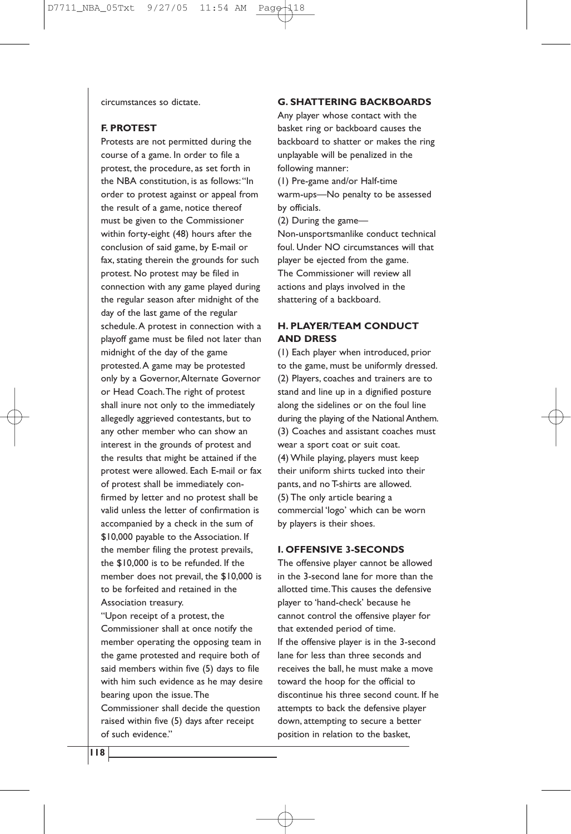circumstances so dictate.

### **F. PROTEST**

Protests are not permitted during the course of a game. In order to file a protest, the procedure, as set forth in the NBA constitution, is as follows:"In order to protest against or appeal from the result of a game, notice thereof must be given to the Commissioner within forty-eight (48) hours after the conclusion of said game, by E-mail or fax, stating therein the grounds for such protest. No protest may be filed in connection with any game played during the regular season after midnight of the day of the last game of the regular schedule.A protest in connection with a playoff game must be filed not later than midnight of the day of the game protested.A game may be protested only by a Governor,Alternate Governor or Head Coach.The right of protest shall inure not only to the immediately allegedly aggrieved contestants, but to any other member who can show an interest in the grounds of protest and the results that might be attained if the protest were allowed. Each E-mail or fax of protest shall be immediately confirmed by letter and no protest shall be valid unless the letter of confirmation is accompanied by a check in the sum of \$10,000 payable to the Association. If the member filing the protest prevails, the \$10,000 is to be refunded. If the member does not prevail, the \$10,000 is to be forfeited and retained in the Association treasury.

"Upon receipt of a protest, the Commissioner shall at once notify the member operating the opposing team in the game protested and require both of said members within five (5) days to file with him such evidence as he may desire bearing upon the issue.The

Commissioner shall decide the question raised within five (5) days after receipt of such evidence."

#### **G. SHATTERING BACKBOARDS**

Any player whose contact with the basket ring or backboard causes the backboard to shatter or makes the ring unplayable will be penalized in the following manner:

(1) Pre-game and/or Half-time warm-ups—No penalty to be assessed by officials.

(2) During the game—

Non-unsportsmanlike conduct technical foul. Under NO circumstances will that player be ejected from the game. The Commissioner will review all actions and plays involved in the shattering of a backboard.

### **H. PLAYER/TEAM CONDUCT AND DRESS**

(1) Each player when introduced, prior to the game, must be uniformly dressed. (2) Players, coaches and trainers are to stand and line up in a dignified posture along the sidelines or on the foul line during the playing of the National Anthem. (3) Coaches and assistant coaches must wear a sport coat or suit coat. (4) While playing, players must keep their uniform shirts tucked into their pants, and no T-shirts are allowed. (5) The only article bearing a commercial 'logo' which can be worn by players is their shoes.

### **I. OFFENSIVE 3-SECONDS**

The offensive player cannot be allowed in the 3-second lane for more than the allotted time.This causes the defensive player to 'hand-check' because he cannot control the offensive player for that extended period of time. If the offensive player is in the 3-second lane for less than three seconds and receives the ball, he must make a move toward the hoop for the official to discontinue his three second count. If he attempts to back the defensive player down, attempting to secure a better position in relation to the basket,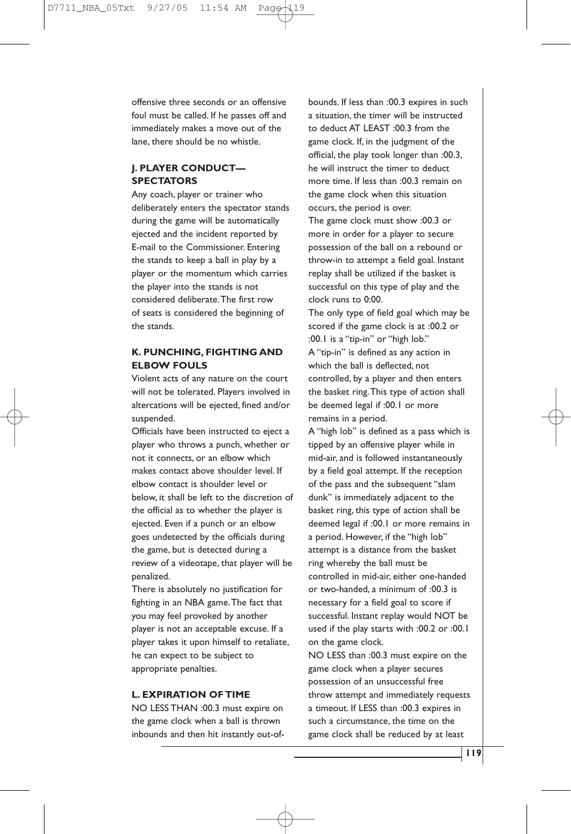offensive three seconds or an offensive foul must be called. If he passes off and immediately makes a move out of the lane, there should be no whistle.

# **J. PLAYER CONDUCT— SPECTATORS**

Any coach, player or trainer who deliberately enters the spectator stands during the game will be automatically ejected and the incident reported by E-mail to the Commissioner. Entering the stands to keep a ball in play by a player or the momentum which carries the player into the stands is not considered deliberate.The first row of seats is considered the beginning of the stands.

# **K. PUNCHING, FIGHTING AND ELBOW FOULS**

Violent acts of any nature on the court will not be tolerated. Players involved in altercations will be ejected, fined and/or suspended.

Officials have been instructed to eject a player who throws a punch, whether or not it connects, or an elbow which makes contact above shoulder level. If elbow contact is shoulder level or below, it shall be left to the discretion of the official as to whether the player is ejected. Even if a punch or an elbow goes undetected by the officials during the game, but is detected during a review of a videotape, that player will be penalized.

There is absolutely no justification for fighting in an NBA game.The fact that you may feel provoked by another player is not an acceptable excuse. If a player takes it upon himself to retaliate, he can expect to be subject to appropriate penalties.

### **L. EXPIRATION OF TIME**

NO LESS THAN :00.3 must expire on the game clock when a ball is thrown inbounds and then hit instantly out-ofbounds. If less than :00.3 expires in such a situation, the timer will be instructed to deduct AT LEAST :00.3 from the game clock. If, in the judgment of the official, the play took longer than :00.3, he will instruct the timer to deduct more time. If less than :00.3 remain on the game clock when this situation occurs, the period is over.

The game clock must show :00.3 or more in order for a player to secure possession of the ball on a rebound or throw-in to attempt a field goal. Instant replay shall be utilized if the basket is successful on this type of play and the clock runs to 0:00.

The only type of field goal which may be scored if the game clock is at :00.2 or :00.1 is a "tip-in" or "high lob." A "tip-in" is defined as any action in which the ball is deflected, not controlled, by a player and then enters the basket ring.This type of action shall be deemed legal if :00.1 or more remains in a period.

A "high lob" is defined as a pass which is tipped by an offensive player while in mid-air, and is followed instantaneously by a field goal attempt. If the reception of the pass and the subsequent "slam dunk" is immediately adjacent to the basket ring, this type of action shall be deemed legal if :00.1 or more remains in a period. However, if the "high lob" attempt is a distance from the basket ring whereby the ball must be controlled in mid-air, either one-handed or two-handed, a minimum of :00.3 is necessary for a field goal to score if successful. Instant replay would NOT be used if the play starts with :00.2 or :00.1 on the game clock.

NO LESS than :00.3 must expire on the game clock when a player secures possession of an unsuccessful free throw attempt and immediately requests a timeout. If LESS than :00.3 expires in such a circumstance, the time on the game clock shall be reduced by at least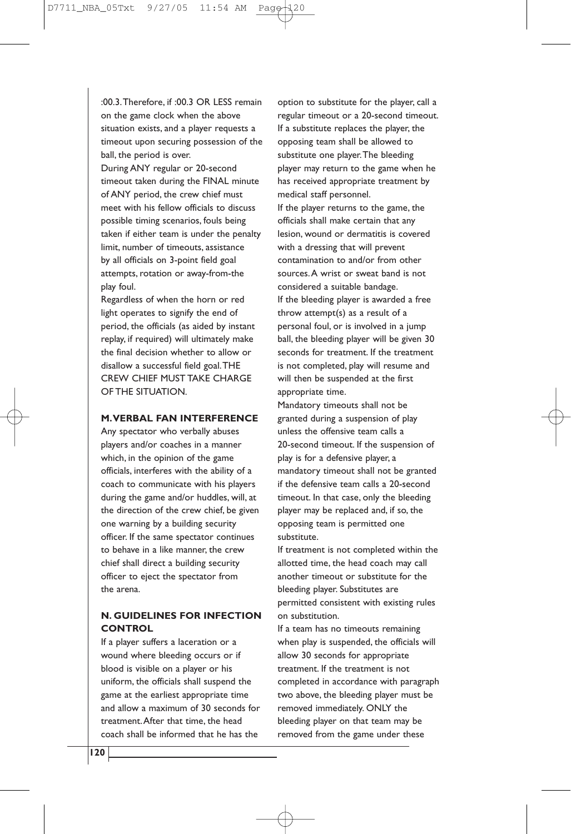:00.3.Therefore, if :00.3 OR LESS remain on the game clock when the above situation exists, and a player requests a timeout upon securing possession of the ball, the period is over.

During ANY regular or 20-second timeout taken during the FINAL minute of ANY period, the crew chief must meet with his fellow officials to discuss possible timing scenarios, fouls being taken if either team is under the penalty limit, number of timeouts, assistance by all officials on 3-point field goal attempts, rotation or away-from-the play foul.

Regardless of when the horn or red light operates to signify the end of period, the officials (as aided by instant replay, if required) will ultimately make the final decision whether to allow or disallow a successful field goal.THE CREW CHIEF MUST TAKE CHARGE OF THE SITUATION.

### **M.VERBAL FAN INTERFERENCE**

Any spectator who verbally abuses players and/or coaches in a manner which, in the opinion of the game officials, interferes with the ability of a coach to communicate with his players during the game and/or huddles, will, at the direction of the crew chief, be given one warning by a building security officer. If the same spectator continues to behave in a like manner, the crew chief shall direct a building security officer to eject the spectator from the arena.

### **N. GUIDELINES FOR INFECTION CONTROL**

If a player suffers a laceration or a wound where bleeding occurs or if blood is visible on a player or his uniform, the officials shall suspend the game at the earliest appropriate time and allow a maximum of 30 seconds for treatment.After that time, the head coach shall be informed that he has the

option to substitute for the player, call a regular timeout or a 20-second timeout. If a substitute replaces the player, the opposing team shall be allowed to substitute one player.The bleeding player may return to the game when he has received appropriate treatment by medical staff personnel.

If the player returns to the game, the officials shall make certain that any lesion, wound or dermatitis is covered with a dressing that will prevent contamination to and/or from other sources.A wrist or sweat band is not considered a suitable bandage. If the bleeding player is awarded a free throw attempt(s) as a result of a personal foul, or is involved in a jump ball, the bleeding player will be given 30 seconds for treatment. If the treatment is not completed, play will resume and will then be suspended at the first appropriate time.

Mandatory timeouts shall not be granted during a suspension of play unless the offensive team calls a 20-second timeout. If the suspension of play is for a defensive player, a mandatory timeout shall not be granted if the defensive team calls a 20-second timeout. In that case, only the bleeding player may be replaced and, if so, the opposing team is permitted one substitute.

If treatment is not completed within the allotted time, the head coach may call another timeout or substitute for the bleeding player. Substitutes are permitted consistent with existing rules on substitution.

If a team has no timeouts remaining when play is suspended, the officials will allow 30 seconds for appropriate treatment. If the treatment is not completed in accordance with paragraph two above, the bleeding player must be removed immediately. ONLY the bleeding player on that team may be removed from the game under these